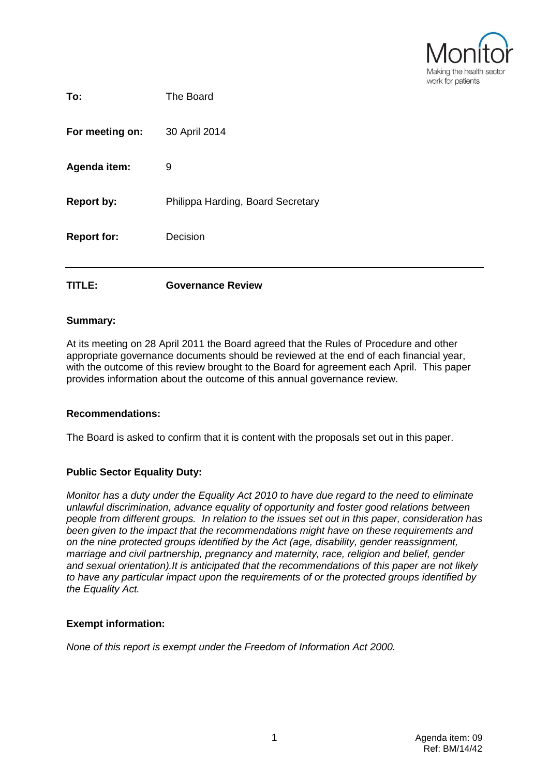

| TITLE:             | <b>Governance Review</b>          |
|--------------------|-----------------------------------|
| <b>Report for:</b> | Decision                          |
| <b>Report by:</b>  | Philippa Harding, Board Secretary |
| Agenda item:       | 9                                 |
| For meeting on:    | 30 April 2014                     |
| To:                | The Board                         |

#### **Summary:**

At its meeting on 28 April 2011 the Board agreed that the Rules of Procedure and other appropriate governance documents should be reviewed at the end of each financial year, with the outcome of this review brought to the Board for agreement each April. This paper provides information about the outcome of this annual governance review.

#### **Recommendations:**

The Board is asked to confirm that it is content with the proposals set out in this paper.

#### **Public Sector Equality Duty:**

*Monitor has a duty under the Equality Act 2010 to have due regard to the need to eliminate unlawful discrimination, advance equality of opportunity and foster good relations between people from different groups. In relation to the issues set out in this paper, consideration has been given to the impact that the recommendations might have on these requirements and on the nine protected groups identified by the Act (age, disability, gender reassignment, marriage and civil partnership, pregnancy and maternity, race, religion and belief, gender and sexual orientation).It is anticipated that the recommendations of this paper are not likely to have any particular impact upon the requirements of or the protected groups identified by the Equality Act.*

#### **Exempt information:**

*None of this report is exempt under the Freedom of Information Act 2000.*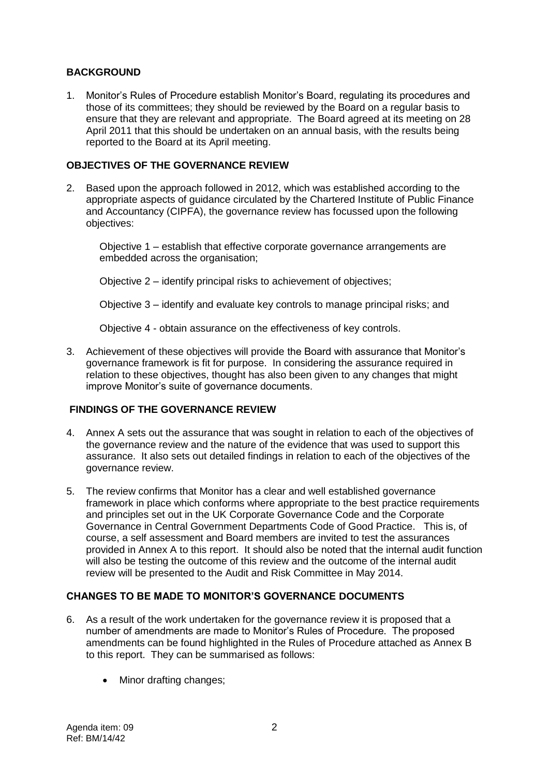# **BACKGROUND**

1. Monitor's Rules of Procedure establish Monitor's Board, regulating its procedures and those of its committees; they should be reviewed by the Board on a regular basis to ensure that they are relevant and appropriate. The Board agreed at its meeting on 28 April 2011 that this should be undertaken on an annual basis, with the results being reported to the Board at its April meeting.

# **OBJECTIVES OF THE GOVERNANCE REVIEW**

2. Based upon the approach followed in 2012, which was established according to the appropriate aspects of guidance circulated by the Chartered Institute of Public Finance and Accountancy (CIPFA), the governance review has focussed upon the following objectives:

Objective 1 – establish that effective corporate governance arrangements are embedded across the organisation;

Objective 2 – identify principal risks to achievement of objectives;

Objective 3 – identify and evaluate key controls to manage principal risks; and

Objective 4 - obtain assurance on the effectiveness of key controls.

3. Achievement of these objectives will provide the Board with assurance that Monitor's governance framework is fit for purpose. In considering the assurance required in relation to these objectives, thought has also been given to any changes that might improve Monitor's suite of governance documents.

# **FINDINGS OF THE GOVERNANCE REVIEW**

- 4. Annex A sets out the assurance that was sought in relation to each of the objectives of the governance review and the nature of the evidence that was used to support this assurance. It also sets out detailed findings in relation to each of the objectives of the governance review.
- 5. The review confirms that Monitor has a clear and well established governance framework in place which conforms where appropriate to the best practice requirements and principles set out in the UK Corporate Governance Code and the Corporate Governance in Central Government Departments Code of Good Practice. This is, of course, a self assessment and Board members are invited to test the assurances provided in Annex A to this report. It should also be noted that the internal audit function will also be testing the outcome of this review and the outcome of the internal audit review will be presented to the Audit and Risk Committee in May 2014.

# **CHANGES TO BE MADE TO MONITOR'S GOVERNANCE DOCUMENTS**

- 6. As a result of the work undertaken for the governance review it is proposed that a number of amendments are made to Monitor's Rules of Procedure. The proposed amendments can be found highlighted in the Rules of Procedure attached as Annex B to this report. They can be summarised as follows:
	- Minor drafting changes;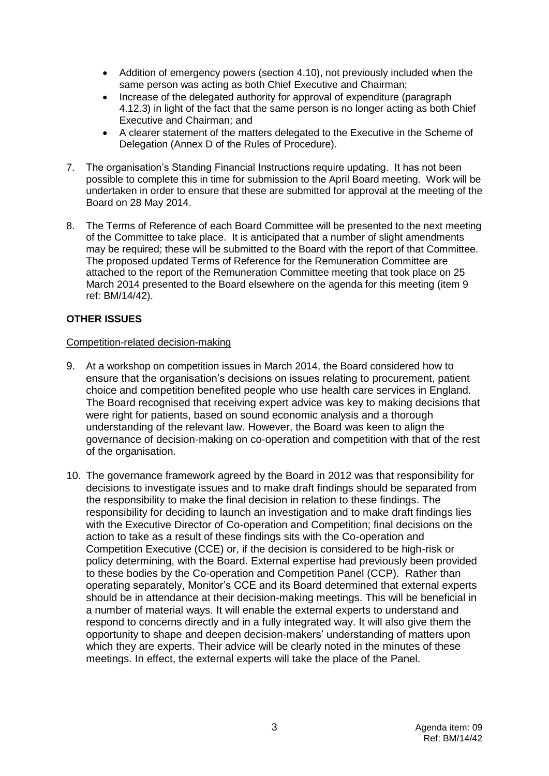- Addition of emergency powers (section 4.10), not previously included when the same person was acting as both Chief Executive and Chairman;
- Increase of the delegated authority for approval of expenditure (paragraph) 4.12.3) in light of the fact that the same person is no longer acting as both Chief Executive and Chairman; and
- A clearer statement of the matters delegated to the Executive in the Scheme of Delegation (Annex D of the Rules of Procedure).
- 7. The organisation's Standing Financial Instructions require updating. It has not been possible to complete this in time for submission to the April Board meeting. Work will be undertaken in order to ensure that these are submitted for approval at the meeting of the Board on 28 May 2014.
- 8. The Terms of Reference of each Board Committee will be presented to the next meeting of the Committee to take place. It is anticipated that a number of slight amendments may be required; these will be submitted to the Board with the report of that Committee. The proposed updated Terms of Reference for the Remuneration Committee are attached to the report of the Remuneration Committee meeting that took place on 25 March 2014 presented to the Board elsewhere on the agenda for this meeting (item 9 ref: BM/14/42).

# **OTHER ISSUES**

#### Competition-related decision-making

- 9. At a workshop on competition issues in March 2014, the Board considered how to ensure that the organisation's decisions on issues relating to procurement, patient choice and competition benefited people who use health care services in England. The Board recognised that receiving expert advice was key to making decisions that were right for patients, based on sound economic analysis and a thorough understanding of the relevant law. However, the Board was keen to align the governance of decision-making on co-operation and competition with that of the rest of the organisation.
- 10. The governance framework agreed by the Board in 2012 was that responsibility for decisions to investigate issues and to make draft findings should be separated from the responsibility to make the final decision in relation to these findings. The responsibility for deciding to launch an investigation and to make draft findings lies with the Executive Director of Co-operation and Competition; final decisions on the action to take as a result of these findings sits with the Co-operation and Competition Executive (CCE) or, if the decision is considered to be high-risk or policy determining, with the Board. External expertise had previously been provided to these bodies by the Co-operation and Competition Panel (CCP). Rather than operating separately, Monitor's CCE and its Board determined that external experts should be in attendance at their decision-making meetings. This will be beneficial in a number of material ways. It will enable the external experts to understand and respond to concerns directly and in a fully integrated way. It will also give them the opportunity to shape and deepen decision-makers' understanding of matters upon which they are experts. Their advice will be clearly noted in the minutes of these meetings. In effect, the external experts will take the place of the Panel.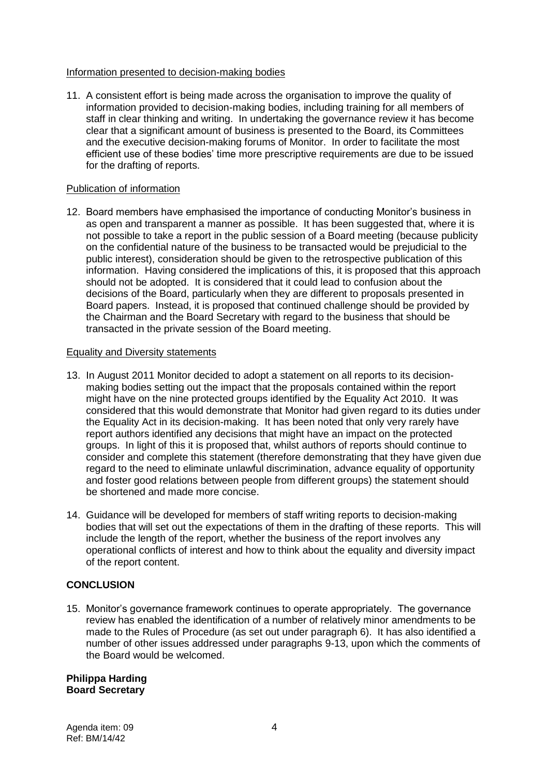#### Information presented to decision-making bodies

11. A consistent effort is being made across the organisation to improve the quality of information provided to decision-making bodies, including training for all members of staff in clear thinking and writing. In undertaking the governance review it has become clear that a significant amount of business is presented to the Board, its Committees and the executive decision-making forums of Monitor. In order to facilitate the most efficient use of these bodies' time more prescriptive requirements are due to be issued for the drafting of reports.

# Publication of information

12. Board members have emphasised the importance of conducting Monitor's business in as open and transparent a manner as possible. It has been suggested that, where it is not possible to take a report in the public session of a Board meeting (because publicity on the confidential nature of the business to be transacted would be prejudicial to the public interest), consideration should be given to the retrospective publication of this information. Having considered the implications of this, it is proposed that this approach should not be adopted. It is considered that it could lead to confusion about the decisions of the Board, particularly when they are different to proposals presented in Board papers. Instead, it is proposed that continued challenge should be provided by the Chairman and the Board Secretary with regard to the business that should be transacted in the private session of the Board meeting.

#### Equality and Diversity statements

- 13. In August 2011 Monitor decided to adopt a statement on all reports to its decisionmaking bodies setting out the impact that the proposals contained within the report might have on the nine protected groups identified by the Equality Act 2010. It was considered that this would demonstrate that Monitor had given regard to its duties under the Equality Act in its decision-making. It has been noted that only very rarely have report authors identified any decisions that might have an impact on the protected groups. In light of this it is proposed that, whilst authors of reports should continue to consider and complete this statement (therefore demonstrating that they have given due regard to the need to eliminate unlawful discrimination, advance equality of opportunity and foster good relations between people from different groups) the statement should be shortened and made more concise.
- 14. Guidance will be developed for members of staff writing reports to decision-making bodies that will set out the expectations of them in the drafting of these reports. This will include the length of the report, whether the business of the report involves any operational conflicts of interest and how to think about the equality and diversity impact of the report content.

# **CONCLUSION**

15. Monitor's governance framework continues to operate appropriately. The governance review has enabled the identification of a number of relatively minor amendments to be made to the Rules of Procedure (as set out under paragraph 6). It has also identified a number of other issues addressed under paragraphs 9-13, upon which the comments of the Board would be welcomed.

#### **Philippa Harding Board Secretary**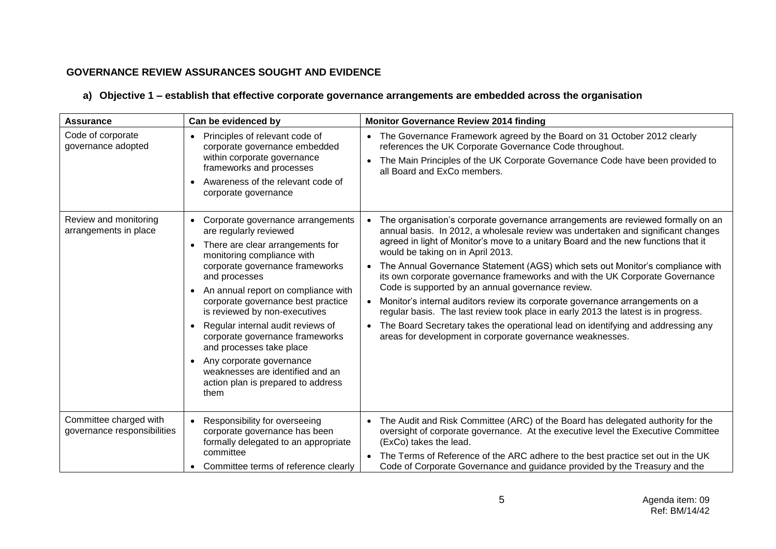# **GOVERNANCE REVIEW ASSURANCES SOUGHT AND EVIDENCE**

# **a) Objective 1 – establish that effective corporate governance arrangements are embedded across the organisation**

| <b>Assurance</b>                                      | Can be evidenced by                                                                                                                                                                                                                                                                                                                                                                                                                                                                                                              | <b>Monitor Governance Review 2014 finding</b>                                                                                                                                                                                                                                                                                                                                                                                                                                                                                                                                                                                                                                                                                                                                                                                                               |
|-------------------------------------------------------|----------------------------------------------------------------------------------------------------------------------------------------------------------------------------------------------------------------------------------------------------------------------------------------------------------------------------------------------------------------------------------------------------------------------------------------------------------------------------------------------------------------------------------|-------------------------------------------------------------------------------------------------------------------------------------------------------------------------------------------------------------------------------------------------------------------------------------------------------------------------------------------------------------------------------------------------------------------------------------------------------------------------------------------------------------------------------------------------------------------------------------------------------------------------------------------------------------------------------------------------------------------------------------------------------------------------------------------------------------------------------------------------------------|
| Code of corporate<br>governance adopted               | • Principles of relevant code of<br>corporate governance embedded<br>within corporate governance<br>frameworks and processes<br>Awareness of the relevant code of<br>corporate governance                                                                                                                                                                                                                                                                                                                                        | • The Governance Framework agreed by the Board on 31 October 2012 clearly<br>references the UK Corporate Governance Code throughout.<br>The Main Principles of the UK Corporate Governance Code have been provided to<br>all Board and ExCo members.                                                                                                                                                                                                                                                                                                                                                                                                                                                                                                                                                                                                        |
| Review and monitoring<br>arrangements in place        | • Corporate governance arrangements<br>are regularly reviewed<br>There are clear arrangements for<br>$\bullet$<br>monitoring compliance with<br>corporate governance frameworks<br>and processes<br>An annual report on compliance with<br>corporate governance best practice<br>is reviewed by non-executives<br>Regular internal audit reviews of<br>corporate governance frameworks<br>and processes take place<br>Any corporate governance<br>weaknesses are identified and an<br>action plan is prepared to address<br>them | The organisation's corporate governance arrangements are reviewed formally on an<br>annual basis. In 2012, a wholesale review was undertaken and significant changes<br>agreed in light of Monitor's move to a unitary Board and the new functions that it<br>would be taking on in April 2013.<br>The Annual Governance Statement (AGS) which sets out Monitor's compliance with<br>its own corporate governance frameworks and with the UK Corporate Governance<br>Code is supported by an annual governance review.<br>Monitor's internal auditors review its corporate governance arrangements on a<br>$\bullet$<br>regular basis. The last review took place in early 2013 the latest is in progress.<br>The Board Secretary takes the operational lead on identifying and addressing any<br>areas for development in corporate governance weaknesses. |
| Committee charged with<br>governance responsibilities | • Responsibility for overseeing<br>corporate governance has been<br>formally delegated to an appropriate<br>committee<br>• Committee terms of reference clearly                                                                                                                                                                                                                                                                                                                                                                  | The Audit and Risk Committee (ARC) of the Board has delegated authority for the<br>$\bullet$<br>oversight of corporate governance. At the executive level the Executive Committee<br>(ExCo) takes the lead.<br>The Terms of Reference of the ARC adhere to the best practice set out in the UK<br>Code of Corporate Governance and guidance provided by the Treasury and the                                                                                                                                                                                                                                                                                                                                                                                                                                                                                |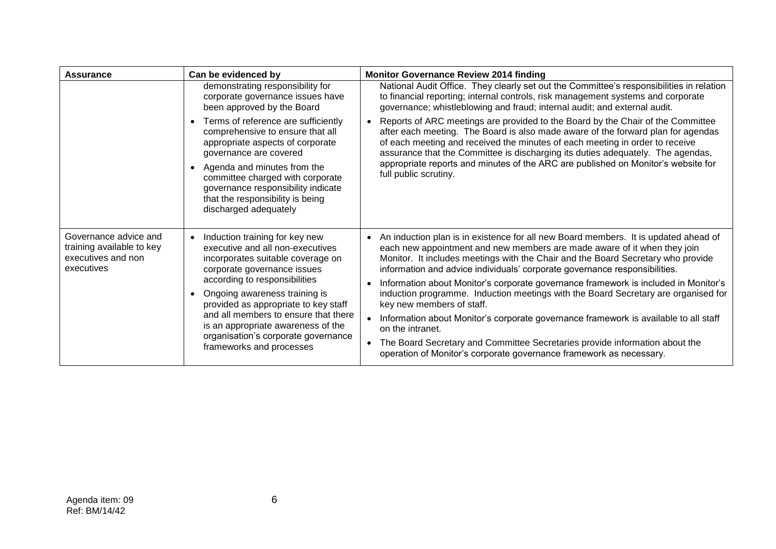| Assurance                                                                                                                                                          | Can be evidenced by                                                                                                                                                     | <b>Monitor Governance Review 2014 finding</b>                                                                                                                                                                                                                                                                                                                                                                            |
|--------------------------------------------------------------------------------------------------------------------------------------------------------------------|-------------------------------------------------------------------------------------------------------------------------------------------------------------------------|--------------------------------------------------------------------------------------------------------------------------------------------------------------------------------------------------------------------------------------------------------------------------------------------------------------------------------------------------------------------------------------------------------------------------|
|                                                                                                                                                                    | demonstrating responsibility for<br>corporate governance issues have<br>been approved by the Board                                                                      | National Audit Office. They clearly set out the Committee's responsibilities in relation<br>to financial reporting; internal controls, risk management systems and corporate<br>governance; whistleblowing and fraud; internal audit; and external audit.                                                                                                                                                                |
|                                                                                                                                                                    | Terms of reference are sufficiently<br>comprehensive to ensure that all<br>appropriate aspects of corporate<br>governance are covered                                   | Reports of ARC meetings are provided to the Board by the Chair of the Committee<br>after each meeting. The Board is also made aware of the forward plan for agendas<br>of each meeting and received the minutes of each meeting in order to receive<br>assurance that the Committee is discharging its duties adequately. The agendas,                                                                                   |
| Agenda and minutes from the<br>committee charged with corporate<br>governance responsibility indicate<br>that the responsibility is being<br>discharged adequately | appropriate reports and minutes of the ARC are published on Monitor's website for<br>full public scrutiny.                                                              |                                                                                                                                                                                                                                                                                                                                                                                                                          |
| Governance advice and<br>training available to key<br>executives and non<br>executives                                                                             | Induction training for key new<br>executive and all non-executives<br>incorporates suitable coverage on<br>corporate governance issues<br>according to responsibilities | An induction plan is in existence for all new Board members. It is updated ahead of<br>each new appointment and new members are made aware of it when they join<br>Monitor. It includes meetings with the Chair and the Board Secretary who provide<br>information and advice individuals' corporate governance responsibilities.<br>Information about Monitor's corporate governance framework is included in Monitor's |
|                                                                                                                                                                    | Ongoing awareness training is<br>provided as appropriate to key staff                                                                                                   | induction programme. Induction meetings with the Board Secretary are organised for<br>key new members of staff.                                                                                                                                                                                                                                                                                                          |
|                                                                                                                                                                    | and all members to ensure that there<br>is an appropriate awareness of the<br>organisation's corporate governance                                                       | Information about Monitor's corporate governance framework is available to all staff<br>on the intranet.                                                                                                                                                                                                                                                                                                                 |
|                                                                                                                                                                    | frameworks and processes                                                                                                                                                | The Board Secretary and Committee Secretaries provide information about the<br>operation of Monitor's corporate governance framework as necessary.                                                                                                                                                                                                                                                                       |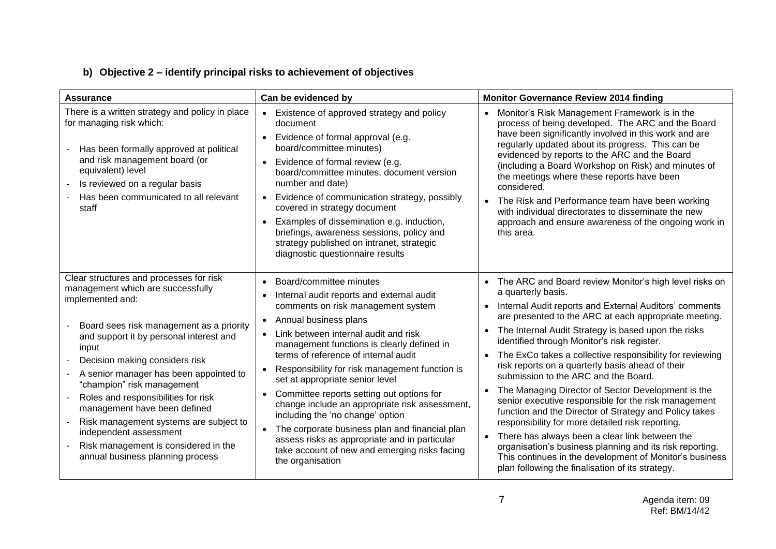# **b) Objective 2 – identify principal risks to achievement of objectives**

| <b>Assurance</b>                                                                                                                                                                                                                                                                                                                                                                                                                                                                                                                  | Can be evidenced by                                                                                                                                                                                                                                                                                                                                                                                                                                                                                                                                                                                                                                                                             | <b>Monitor Governance Review 2014 finding</b>                                                                                                                                                                                                                                                                                                                                                                                                                                                                                                                                                                                                                                                                                                                                                                                                                                                                          |
|-----------------------------------------------------------------------------------------------------------------------------------------------------------------------------------------------------------------------------------------------------------------------------------------------------------------------------------------------------------------------------------------------------------------------------------------------------------------------------------------------------------------------------------|-------------------------------------------------------------------------------------------------------------------------------------------------------------------------------------------------------------------------------------------------------------------------------------------------------------------------------------------------------------------------------------------------------------------------------------------------------------------------------------------------------------------------------------------------------------------------------------------------------------------------------------------------------------------------------------------------|------------------------------------------------------------------------------------------------------------------------------------------------------------------------------------------------------------------------------------------------------------------------------------------------------------------------------------------------------------------------------------------------------------------------------------------------------------------------------------------------------------------------------------------------------------------------------------------------------------------------------------------------------------------------------------------------------------------------------------------------------------------------------------------------------------------------------------------------------------------------------------------------------------------------|
| There is a written strategy and policy in place<br>for managing risk which:<br>Has been formally approved at political<br>and risk management board (or<br>equivalent) level<br>Is reviewed on a regular basis<br>Has been communicated to all relevant<br>staff                                                                                                                                                                                                                                                                  | • Existence of approved strategy and policy<br>document<br>Evidence of formal approval (e.g.<br>$\bullet$<br>board/committee minutes)<br>Evidence of formal review (e.g.<br>board/committee minutes, document version<br>number and date)<br>• Evidence of communication strategy, possibly<br>covered in strategy document<br>Examples of dissemination e.g. induction,<br>$\bullet$<br>briefings, awareness sessions, policy and<br>strategy published on intranet, strategic<br>diagnostic questionnaire results                                                                                                                                                                             | Monitor's Risk Management Framework is in the<br>process of being developed. The ARC and the Board<br>have been significantly involved in this work and are<br>regularly updated about its progress. This can be<br>evidenced by reports to the ARC and the Board<br>(including a Board Workshop on Risk) and minutes of<br>the meetings where these reports have been<br>considered.<br>The Risk and Performance team have been working<br>with individual directorates to disseminate the new<br>approach and ensure awareness of the ongoing work in<br>this area.                                                                                                                                                                                                                                                                                                                                                  |
| Clear structures and processes for risk<br>management which are successfully<br>implemented and:<br>Board sees risk management as a priority<br>and support it by personal interest and<br>input<br>Decision making considers risk<br>A senior manager has been appointed to<br>"champion" risk management<br>Roles and responsibilities for risk<br>management have been defined<br>Risk management systems are subject to<br>independent assessment<br>Risk management is considered in the<br>annual business planning process | Board/committee minutes<br>$\bullet$<br>Internal audit reports and external audit<br>comments on risk management system<br>• Annual business plans<br>Link between internal audit and risk<br>management functions is clearly defined in<br>terms of reference of internal audit<br>Responsibility for risk management function is<br>set at appropriate senior level<br>Committee reports setting out options for<br>$\bullet$<br>change include an appropriate risk assessment,<br>including the 'no change' option<br>• The corporate business plan and financial plan<br>assess risks as appropriate and in particular<br>take account of new and emerging risks facing<br>the organisation | The ARC and Board review Monitor's high level risks on<br>a quarterly basis.<br>Internal Audit reports and External Auditors' comments<br>are presented to the ARC at each appropriate meeting.<br>The Internal Audit Strategy is based upon the risks<br>identified through Monitor's risk register.<br>The ExCo takes a collective responsibility for reviewing<br>risk reports on a quarterly basis ahead of their<br>submission to the ARC and the Board.<br>The Managing Director of Sector Development is the<br>senior executive responsible for the risk management<br>function and the Director of Strategy and Policy takes<br>responsibility for more detailed risk reporting.<br>There has always been a clear link between the<br>organisation's business planning and its risk reporting.<br>This continues in the development of Monitor's business<br>plan following the finalisation of its strategy. |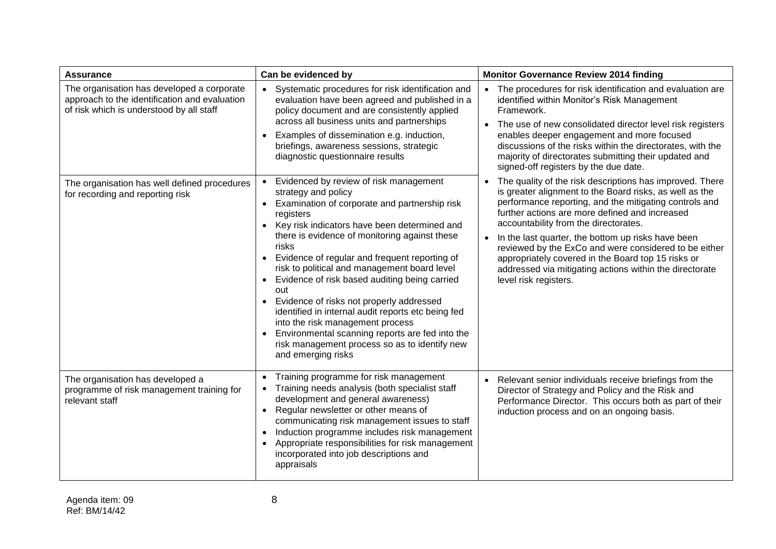| <b>Assurance</b>                                                                                                                        | Can be evidenced by                                                                                                                                                                                                                                                                                                                                                                                                                                                                                                                                                                                                                                                                      | <b>Monitor Governance Review 2014 finding</b>                                                                                                                                                                                                                                                                                                                                                                                                                                                                                     |
|-----------------------------------------------------------------------------------------------------------------------------------------|------------------------------------------------------------------------------------------------------------------------------------------------------------------------------------------------------------------------------------------------------------------------------------------------------------------------------------------------------------------------------------------------------------------------------------------------------------------------------------------------------------------------------------------------------------------------------------------------------------------------------------------------------------------------------------------|-----------------------------------------------------------------------------------------------------------------------------------------------------------------------------------------------------------------------------------------------------------------------------------------------------------------------------------------------------------------------------------------------------------------------------------------------------------------------------------------------------------------------------------|
| The organisation has developed a corporate<br>approach to the identification and evaluation<br>of risk which is understood by all staff | Systematic procedures for risk identification and<br>$\bullet$<br>evaluation have been agreed and published in a<br>policy document and are consistently applied<br>across all business units and partnerships<br>Examples of dissemination e.g. induction,<br>briefings, awareness sessions, strategic<br>diagnostic questionnaire results                                                                                                                                                                                                                                                                                                                                              | The procedures for risk identification and evaluation are<br>identified within Monitor's Risk Management<br>Framework.<br>The use of new consolidated director level risk registers<br>enables deeper engagement and more focused<br>discussions of the risks within the directorates, with the<br>majority of directorates submitting their updated and<br>signed-off registers by the due date.                                                                                                                                 |
| The organisation has well defined procedures<br>for recording and reporting risk                                                        | Evidenced by review of risk management<br>strategy and policy<br>Examination of corporate and partnership risk<br>$\bullet$<br>registers<br>Key risk indicators have been determined and<br>there is evidence of monitoring against these<br>risks<br>Evidence of regular and frequent reporting of<br>$\bullet$<br>risk to political and management board level<br>Evidence of risk based auditing being carried<br>out<br>Evidence of risks not properly addressed<br>identified in internal audit reports etc being fed<br>into the risk management process<br>Environmental scanning reports are fed into the<br>risk management process so as to identify new<br>and emerging risks | The quality of the risk descriptions has improved. There<br>is greater alignment to the Board risks, as well as the<br>performance reporting, and the mitigating controls and<br>further actions are more defined and increased<br>accountability from the directorates.<br>In the last quarter, the bottom up risks have been<br>reviewed by the ExCo and were considered to be either<br>appropriately covered in the Board top 15 risks or<br>addressed via mitigating actions within the directorate<br>level risk registers. |
| The organisation has developed a<br>programme of risk management training for<br>relevant staff                                         | Training programme for risk management<br>Training needs analysis (both specialist staff<br>development and general awareness)<br>Regular newsletter or other means of<br>$\bullet$<br>communicating risk management issues to staff<br>Induction programme includes risk management<br>Appropriate responsibilities for risk management<br>incorporated into job descriptions and<br>appraisals                                                                                                                                                                                                                                                                                         | Relevant senior individuals receive briefings from the<br>Director of Strategy and Policy and the Risk and<br>Performance Director. This occurs both as part of their<br>induction process and on an ongoing basis.                                                                                                                                                                                                                                                                                                               |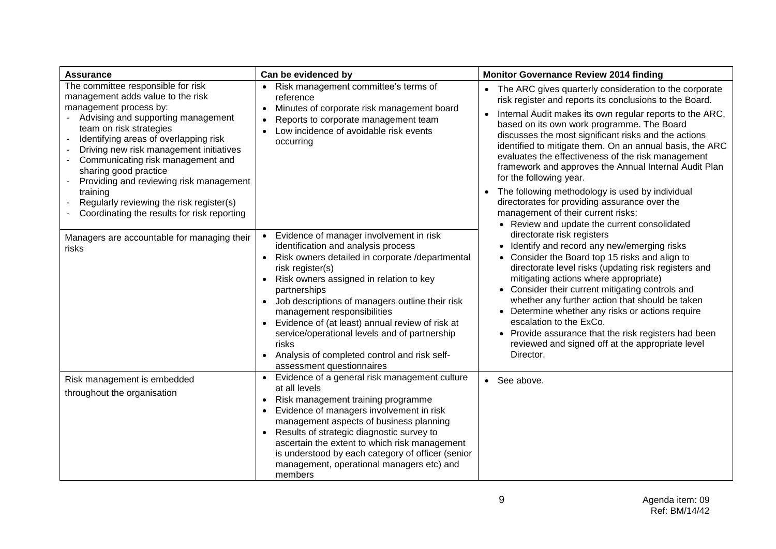| <b>Assurance</b>                                                                                                                                                                                                                                                                                                                                                | Can be evidenced by                                                                                                                                                                                                                                                                                                                                                                                                                                                                                    | <b>Monitor Governance Review 2014 finding</b>                                                                                                                                                                                                                                                                                                                                                                                                                                                                                                |
|-----------------------------------------------------------------------------------------------------------------------------------------------------------------------------------------------------------------------------------------------------------------------------------------------------------------------------------------------------------------|--------------------------------------------------------------------------------------------------------------------------------------------------------------------------------------------------------------------------------------------------------------------------------------------------------------------------------------------------------------------------------------------------------------------------------------------------------------------------------------------------------|----------------------------------------------------------------------------------------------------------------------------------------------------------------------------------------------------------------------------------------------------------------------------------------------------------------------------------------------------------------------------------------------------------------------------------------------------------------------------------------------------------------------------------------------|
| The committee responsible for risk<br>management adds value to the risk<br>management process by:<br>Advising and supporting management<br>team on risk strategies<br>Identifying areas of overlapping risk<br>Driving new risk management initiatives<br>Communicating risk management and<br>sharing good practice<br>Providing and reviewing risk management | • Risk management committee's terms of<br>reference<br>Minutes of corporate risk management board<br>$\bullet$<br>Reports to corporate management team<br>$\bullet$<br>Low incidence of avoidable risk events<br>occurring                                                                                                                                                                                                                                                                             | The ARC gives quarterly consideration to the corporate<br>$\bullet$<br>risk register and reports its conclusions to the Board.<br>Internal Audit makes its own regular reports to the ARC,<br>based on its own work programme. The Board<br>discusses the most significant risks and the actions<br>identified to mitigate them. On an annual basis, the ARC<br>evaluates the effectiveness of the risk management<br>framework and approves the Annual Internal Audit Plan<br>for the following year.                                       |
| training<br>Regularly reviewing the risk register(s)<br>Coordinating the results for risk reporting                                                                                                                                                                                                                                                             |                                                                                                                                                                                                                                                                                                                                                                                                                                                                                                        | The following methodology is used by individual<br>directorates for providing assurance over the<br>management of their current risks:<br>• Review and update the current consolidated                                                                                                                                                                                                                                                                                                                                                       |
| Managers are accountable for managing their<br>risks                                                                                                                                                                                                                                                                                                            | • Evidence of manager involvement in risk<br>identification and analysis process<br>• Risk owners detailed in corporate /departmental<br>risk register(s)<br>• Risk owners assigned in relation to key<br>partnerships<br>• Job descriptions of managers outline their risk<br>management responsibilities<br>• Evidence of (at least) annual review of risk at<br>service/operational levels and of partnership<br>risks<br>Analysis of completed control and risk self-<br>assessment questionnaires | directorate risk registers<br>• Identify and record any new/emerging risks<br>• Consider the Board top 15 risks and align to<br>directorate level risks (updating risk registers and<br>mitigating actions where appropriate)<br>• Consider their current mitigating controls and<br>whether any further action that should be taken<br>• Determine whether any risks or actions require<br>escalation to the ExCo.<br>• Provide assurance that the risk registers had been<br>reviewed and signed off at the appropriate level<br>Director. |
| Risk management is embedded<br>throughout the organisation                                                                                                                                                                                                                                                                                                      | • Evidence of a general risk management culture<br>at all levels<br>Risk management training programme<br>$\bullet$<br>Evidence of managers involvement in risk<br>$\bullet$<br>management aspects of business planning<br>Results of strategic diagnostic survey to<br>$\bullet$<br>ascertain the extent to which risk management<br>is understood by each category of officer (senior<br>management, operational managers etc) and<br>members                                                        | • See above.                                                                                                                                                                                                                                                                                                                                                                                                                                                                                                                                 |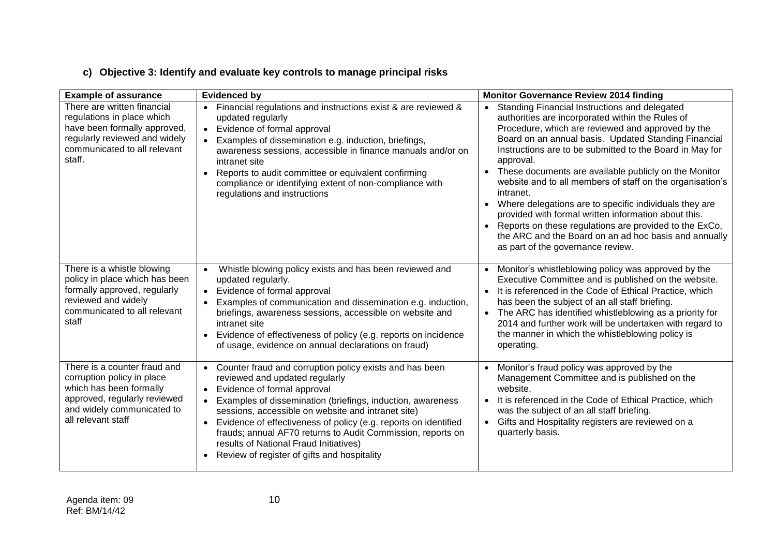# **c) Objective 3: Identify and evaluate key controls to manage principal risks**

| <b>Example of assurance</b>                                                                                                                                               | <b>Evidenced by</b>                                                                                                                                                                                                                                                                                                                                                                                                                                                       | <b>Monitor Governance Review 2014 finding</b>                                                                                                                                                                                                                                                                                                                                                                                                                                                                                                                                                                                                                                                                     |
|---------------------------------------------------------------------------------------------------------------------------------------------------------------------------|---------------------------------------------------------------------------------------------------------------------------------------------------------------------------------------------------------------------------------------------------------------------------------------------------------------------------------------------------------------------------------------------------------------------------------------------------------------------------|-------------------------------------------------------------------------------------------------------------------------------------------------------------------------------------------------------------------------------------------------------------------------------------------------------------------------------------------------------------------------------------------------------------------------------------------------------------------------------------------------------------------------------------------------------------------------------------------------------------------------------------------------------------------------------------------------------------------|
| There are written financial<br>regulations in place which<br>have been formally approved,<br>regularly reviewed and widely<br>communicated to all relevant<br>staff.      | Financial regulations and instructions exist & are reviewed &<br>updated regularly<br>Evidence of formal approval<br>Examples of dissemination e.g. induction, briefings,<br>awareness sessions, accessible in finance manuals and/or on<br>intranet site<br>Reports to audit committee or equivalent confirming<br>compliance or identifying extent of non-compliance with<br>regulations and instructions                                                               | Standing Financial Instructions and delegated<br>authorities are incorporated within the Rules of<br>Procedure, which are reviewed and approved by the<br>Board on an annual basis. Updated Standing Financial<br>Instructions are to be submitted to the Board in May for<br>approval.<br>These documents are available publicly on the Monitor<br>$\bullet$<br>website and to all members of staff on the organisation's<br>intranet.<br>Where delegations are to specific individuals they are<br>provided with formal written information about this.<br>Reports on these regulations are provided to the ExCo,<br>the ARC and the Board on an ad hoc basis and annually<br>as part of the governance review. |
| There is a whistle blowing<br>policy in place which has been<br>formally approved, regularly<br>reviewed and widely<br>communicated to all relevant<br>staff              | Whistle blowing policy exists and has been reviewed and<br>$\bullet$<br>updated regularly.<br>• Evidence of formal approval<br>Examples of communication and dissemination e.g. induction,<br>briefings, awareness sessions, accessible on website and<br>intranet site<br>Evidence of effectiveness of policy (e.g. reports on incidence<br>of usage, evidence on annual declarations on fraud)                                                                          | Monitor's whistleblowing policy was approved by the<br>$\bullet$<br>Executive Committee and is published on the website.<br>It is referenced in the Code of Ethical Practice, which<br>$\bullet$<br>has been the subject of an all staff briefing.<br>The ARC has identified whistleblowing as a priority for<br>2014 and further work will be undertaken with regard to<br>the manner in which the whistleblowing policy is<br>operating.                                                                                                                                                                                                                                                                        |
| There is a counter fraud and<br>corruption policy in place<br>which has been formally<br>approved, regularly reviewed<br>and widely communicated to<br>all relevant staff | • Counter fraud and corruption policy exists and has been<br>reviewed and updated regularly<br>Evidence of formal approval<br>Examples of dissemination (briefings, induction, awareness<br>sessions, accessible on website and intranet site)<br>Evidence of effectiveness of policy (e.g. reports on identified<br>frauds; annual AF70 returns to Audit Commission, reports on<br>results of National Fraud Initiatives)<br>Review of register of gifts and hospitality | Monitor's fraud policy was approved by the<br>$\bullet$<br>Management Committee and is published on the<br>website.<br>It is referenced in the Code of Ethical Practice, which<br>$\bullet$<br>was the subject of an all staff briefing.<br>Gifts and Hospitality registers are reviewed on a<br>$\bullet$<br>quarterly basis.                                                                                                                                                                                                                                                                                                                                                                                    |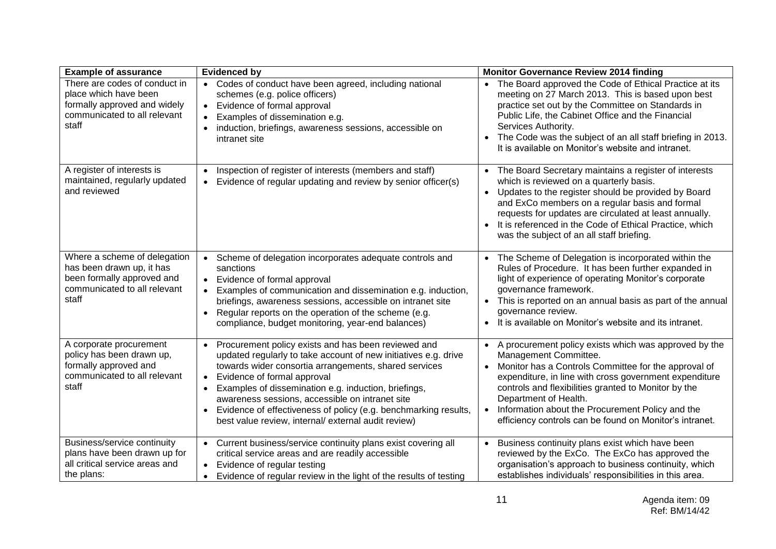| <b>Example of assurance</b>                                                                                                      | <b>Evidenced by</b>                                                                                                                                                                                                                                                                                                                                                                                                                                                           | <b>Monitor Governance Review 2014 finding</b>                                                                                                                                                                                                                                                                                                                                                    |
|----------------------------------------------------------------------------------------------------------------------------------|-------------------------------------------------------------------------------------------------------------------------------------------------------------------------------------------------------------------------------------------------------------------------------------------------------------------------------------------------------------------------------------------------------------------------------------------------------------------------------|--------------------------------------------------------------------------------------------------------------------------------------------------------------------------------------------------------------------------------------------------------------------------------------------------------------------------------------------------------------------------------------------------|
| There are codes of conduct in<br>place which have been<br>formally approved and widely<br>communicated to all relevant<br>staff  | • Codes of conduct have been agreed, including national<br>schemes (e.g. police officers)<br>Evidence of formal approval<br>$\bullet$<br>Examples of dissemination e.g.<br>$\bullet$<br>induction, briefings, awareness sessions, accessible on<br>$\bullet$<br>intranet site                                                                                                                                                                                                 | The Board approved the Code of Ethical Practice at its<br>$\bullet$<br>meeting on 27 March 2013. This is based upon best<br>practice set out by the Committee on Standards in<br>Public Life, the Cabinet Office and the Financial<br>Services Authority.<br>The Code was the subject of an all staff briefing in 2013.<br>It is available on Monitor's website and intranet.                    |
| A register of interests is<br>maintained, regularly updated<br>and reviewed                                                      | Inspection of register of interests (members and staff)<br>$\bullet$<br>Evidence of regular updating and review by senior officer(s)<br>$\bullet$                                                                                                                                                                                                                                                                                                                             | The Board Secretary maintains a register of interests<br>which is reviewed on a quarterly basis.<br>Updates to the register should be provided by Board<br>and ExCo members on a regular basis and formal<br>requests for updates are circulated at least annually.<br>It is referenced in the Code of Ethical Practice, which<br>$\bullet$<br>was the subject of an all staff briefing.         |
| Where a scheme of delegation<br>has been drawn up, it has<br>been formally approved and<br>communicated to all relevant<br>staff | Scheme of delegation incorporates adequate controls and<br>$\bullet$<br>sanctions<br>Evidence of formal approval<br>Examples of communication and dissemination e.g. induction,<br>$\bullet$<br>briefings, awareness sessions, accessible on intranet site<br>Regular reports on the operation of the scheme (e.g.<br>$\bullet$<br>compliance, budget monitoring, year-end balances)                                                                                          | The Scheme of Delegation is incorporated within the<br>Rules of Procedure. It has been further expanded in<br>light of experience of operating Monitor's corporate<br>governance framework.<br>• This is reported on an annual basis as part of the annual<br>governance review.<br>It is available on Monitor's website and its intranet.<br>$\bullet$                                          |
| A corporate procurement<br>policy has been drawn up,<br>formally approved and<br>communicated to all relevant<br>staff           | Procurement policy exists and has been reviewed and<br>$\bullet$<br>updated regularly to take account of new initiatives e.g. drive<br>towards wider consortia arrangements, shared services<br>Evidence of formal approval<br>$\bullet$<br>Examples of dissemination e.g. induction, briefings,<br>awareness sessions, accessible on intranet site<br>Evidence of effectiveness of policy (e.g. benchmarking results,<br>best value review, internal/ external audit review) | A procurement policy exists which was approved by the<br>Management Committee.<br>Monitor has a Controls Committee for the approval of<br>expenditure, in line with cross government expenditure<br>controls and flexibilities granted to Monitor by the<br>Department of Health.<br>Information about the Procurement Policy and the<br>efficiency controls can be found on Monitor's intranet. |
| Business/service continuity<br>plans have been drawn up for<br>all critical service areas and<br>the plans:                      | • Current business/service continuity plans exist covering all<br>critical service areas and are readily accessible<br>Evidence of regular testing<br>Evidence of regular review in the light of the results of testing<br>$\bullet$                                                                                                                                                                                                                                          | Business continuity plans exist which have been<br>reviewed by the ExCo. The ExCo has approved the<br>organisation's approach to business continuity, which<br>establishes individuals' responsibilities in this area.                                                                                                                                                                           |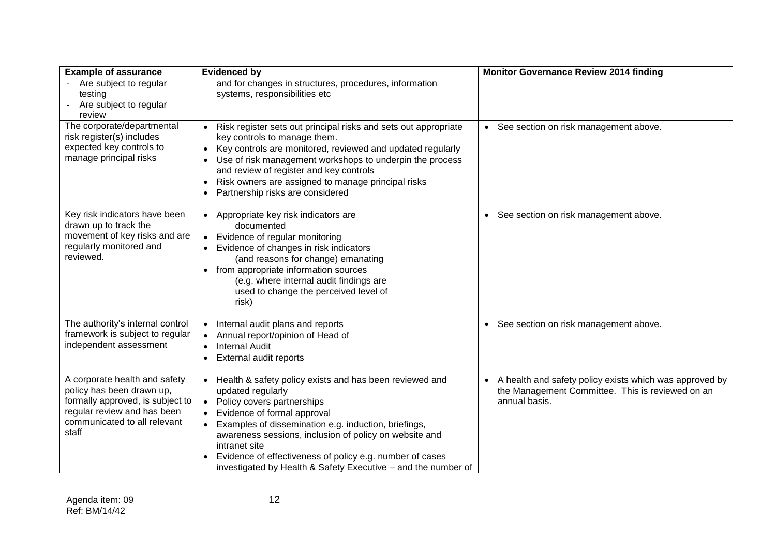| <b>Example of assurance</b>                                                                                                                                            | <b>Evidenced by</b>                                                                                                                                                                                                                                                                                                                                                                                                                   | <b>Monitor Governance Review 2014 finding</b>                                                                                  |
|------------------------------------------------------------------------------------------------------------------------------------------------------------------------|---------------------------------------------------------------------------------------------------------------------------------------------------------------------------------------------------------------------------------------------------------------------------------------------------------------------------------------------------------------------------------------------------------------------------------------|--------------------------------------------------------------------------------------------------------------------------------|
| Are subject to regular<br>testing<br>Are subject to regular<br>review                                                                                                  | and for changes in structures, procedures, information<br>systems, responsibilities etc                                                                                                                                                                                                                                                                                                                                               |                                                                                                                                |
| The corporate/departmental<br>risk register(s) includes<br>expected key controls to<br>manage principal risks                                                          | Risk register sets out principal risks and sets out appropriate<br>key controls to manage them.<br>Key controls are monitored, reviewed and updated regularly<br>$\bullet$<br>Use of risk management workshops to underpin the process<br>and review of register and key controls<br>Risk owners are assigned to manage principal risks<br>$\bullet$<br>Partnership risks are considered                                              | • See section on risk management above.                                                                                        |
| Key risk indicators have been<br>drawn up to track the<br>movement of key risks and are<br>regularly monitored and<br>reviewed.                                        | • Appropriate key risk indicators are<br>documented<br>Evidence of regular monitoring<br>$\bullet$<br>Evidence of changes in risk indicators<br>(and reasons for change) emanating<br>from appropriate information sources<br>$\bullet$<br>(e.g. where internal audit findings are<br>used to change the perceived level of<br>risk)                                                                                                  | • See section on risk management above.                                                                                        |
| The authority's internal control<br>framework is subject to regular<br>independent assessment                                                                          | Internal audit plans and reports<br>$\bullet$<br>Annual report/opinion of Head of<br>$\bullet$<br><b>Internal Audit</b><br>$\bullet$<br>External audit reports                                                                                                                                                                                                                                                                        | • See section on risk management above.                                                                                        |
| A corporate health and safety<br>policy has been drawn up,<br>formally approved, is subject to<br>regular review and has been<br>communicated to all relevant<br>staff | • Health & safety policy exists and has been reviewed and<br>updated regularly<br>Policy covers partnerships<br>$\bullet$<br>Evidence of formal approval<br>Examples of dissemination e.g. induction, briefings,<br>$\bullet$<br>awareness sessions, inclusion of policy on website and<br>intranet site<br>Evidence of effectiveness of policy e.g. number of cases<br>investigated by Health & Safety Executive - and the number of | • A health and safety policy exists which was approved by<br>the Management Committee. This is reviewed on an<br>annual basis. |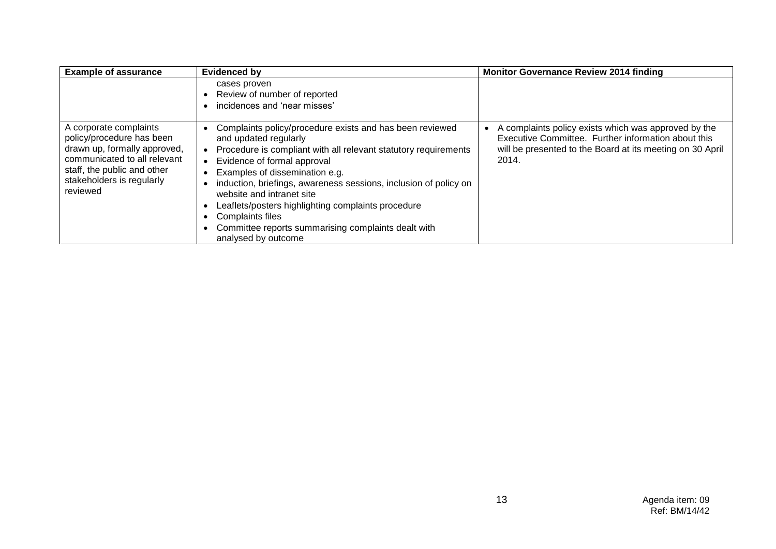| <b>Example of assurance</b>                                                                                                                                                                 | <b>Evidenced by</b>                                                                                                                                                                                                                                                                                                                                                                                                                                                                                | <b>Monitor Governance Review 2014 finding</b>                                                                                                                                     |
|---------------------------------------------------------------------------------------------------------------------------------------------------------------------------------------------|----------------------------------------------------------------------------------------------------------------------------------------------------------------------------------------------------------------------------------------------------------------------------------------------------------------------------------------------------------------------------------------------------------------------------------------------------------------------------------------------------|-----------------------------------------------------------------------------------------------------------------------------------------------------------------------------------|
|                                                                                                                                                                                             | cases proven<br>Review of number of reported<br>incidences and 'near misses'                                                                                                                                                                                                                                                                                                                                                                                                                       |                                                                                                                                                                                   |
| A corporate complaints<br>policy/procedure has been<br>drawn up, formally approved,<br>communicated to all relevant<br>staff, the public and other<br>stakeholders is regularly<br>reviewed | Complaints policy/procedure exists and has been reviewed<br>and updated regularly<br>Procedure is compliant with all relevant statutory requirements<br>Evidence of formal approval<br>$\bullet$<br>Examples of dissemination e.g.<br>induction, briefings, awareness sessions, inclusion of policy on<br>website and intranet site<br>Leaflets/posters highlighting complaints procedure<br><b>Complaints files</b><br>Committee reports summarising complaints dealt with<br>analysed by outcome | A complaints policy exists which was approved by the<br>Executive Committee. Further information about this<br>will be presented to the Board at its meeting on 30 April<br>2014. |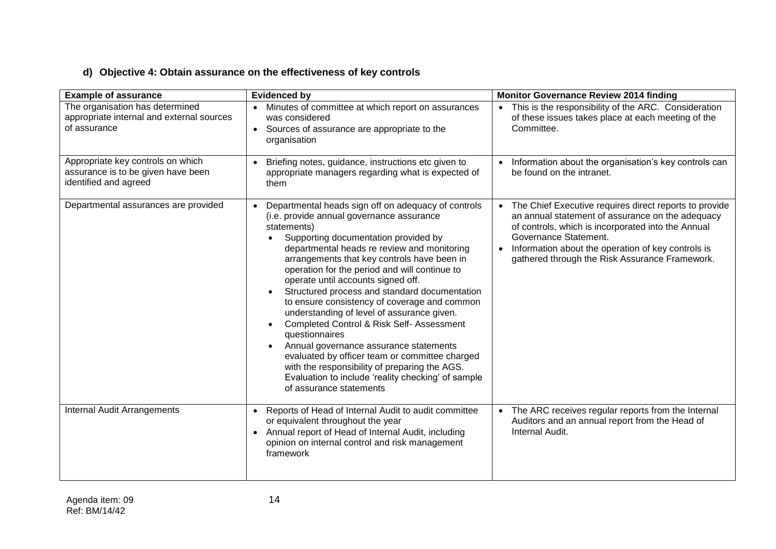# **d) Objective 4: Obtain assurance on the effectiveness of key controls**

| <b>Example of assurance</b>                                                                      | <b>Evidenced by</b>                                                                                                                                                                                                                                                                                                                                                                                                                                                                                                                                                                                                                                                                                                                                                                                   | <b>Monitor Governance Review 2014 finding</b>                                                                                                                                                                                                                                                         |
|--------------------------------------------------------------------------------------------------|-------------------------------------------------------------------------------------------------------------------------------------------------------------------------------------------------------------------------------------------------------------------------------------------------------------------------------------------------------------------------------------------------------------------------------------------------------------------------------------------------------------------------------------------------------------------------------------------------------------------------------------------------------------------------------------------------------------------------------------------------------------------------------------------------------|-------------------------------------------------------------------------------------------------------------------------------------------------------------------------------------------------------------------------------------------------------------------------------------------------------|
| The organisation has determined<br>appropriate internal and external sources<br>of assurance     | Minutes of committee at which report on assurances<br>was considered<br>Sources of assurance are appropriate to the<br>$\bullet$<br>organisation                                                                                                                                                                                                                                                                                                                                                                                                                                                                                                                                                                                                                                                      | • This is the responsibility of the ARC. Consideration<br>of these issues takes place at each meeting of the<br>Committee.                                                                                                                                                                            |
| Appropriate key controls on which<br>assurance is to be given have been<br>identified and agreed | Briefing notes, guidance, instructions etc given to<br>appropriate managers regarding what is expected of<br>them                                                                                                                                                                                                                                                                                                                                                                                                                                                                                                                                                                                                                                                                                     | • Information about the organisation's key controls can<br>be found on the intranet.                                                                                                                                                                                                                  |
| Departmental assurances are provided                                                             | Departmental heads sign off on adequacy of controls<br>(i.e. provide annual governance assurance<br>statements)<br>Supporting documentation provided by<br>departmental heads re review and monitoring<br>arrangements that key controls have been in<br>operation for the period and will continue to<br>operate until accounts signed off.<br>Structured process and standard documentation<br>to ensure consistency of coverage and common<br>understanding of level of assurance given.<br>Completed Control & Risk Self- Assessment<br>questionnaires<br>Annual governance assurance statements<br>$\bullet$<br>evaluated by officer team or committee charged<br>with the responsibility of preparing the AGS.<br>Evaluation to include 'reality checking' of sample<br>of assurance statements | • The Chief Executive requires direct reports to provide<br>an annual statement of assurance on the adequacy<br>of controls, which is incorporated into the Annual<br>Governance Statement.<br>• Information about the operation of key controls is<br>gathered through the Risk Assurance Framework. |
| Internal Audit Arrangements                                                                      | Reports of Head of Internal Audit to audit committee<br>or equivalent throughout the year<br>Annual report of Head of Internal Audit, including<br>opinion on internal control and risk management<br>framework                                                                                                                                                                                                                                                                                                                                                                                                                                                                                                                                                                                       | • The ARC receives regular reports from the Internal<br>Auditors and an annual report from the Head of<br>Internal Audit.                                                                                                                                                                             |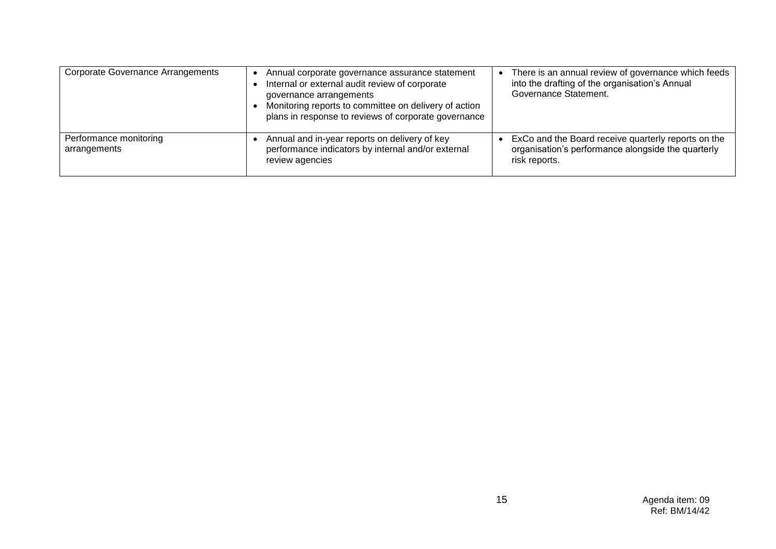| <b>Corporate Governance Arrangements</b> | Annual corporate governance assurance statement<br>Internal or external audit review of corporate<br>governance arrangements<br>Monitoring reports to committee on delivery of action<br>plans in response to reviews of corporate governance | There is an annual review of governance which feeds<br>into the drafting of the organisation's Annual<br>Governance Statement. |
|------------------------------------------|-----------------------------------------------------------------------------------------------------------------------------------------------------------------------------------------------------------------------------------------------|--------------------------------------------------------------------------------------------------------------------------------|
| Performance monitoring<br>arrangements   | Annual and in-year reports on delivery of key<br>performance indicators by internal and/or external<br>review agencies                                                                                                                        | ExCo and the Board receive quarterly reports on the<br>organisation's performance alongside the quarterly<br>risk reports.     |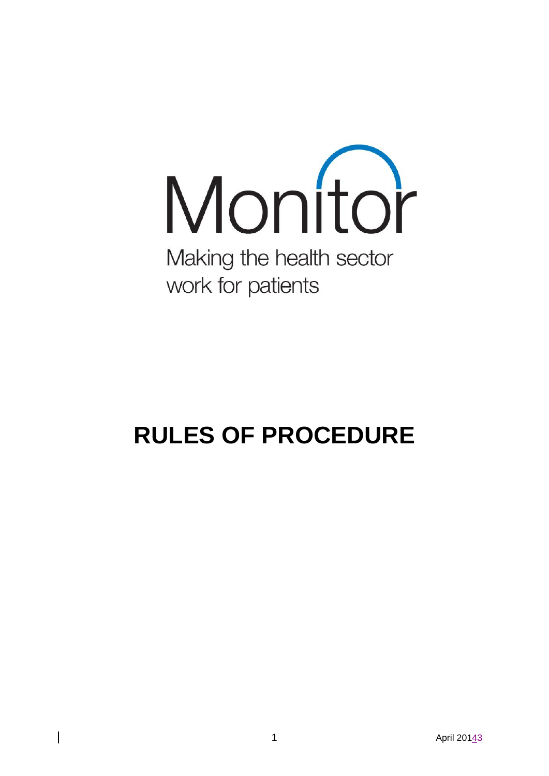

Making the health sector work for patients

# **RULES OF PROCEDURE**

 $\overline{\phantom{a}}$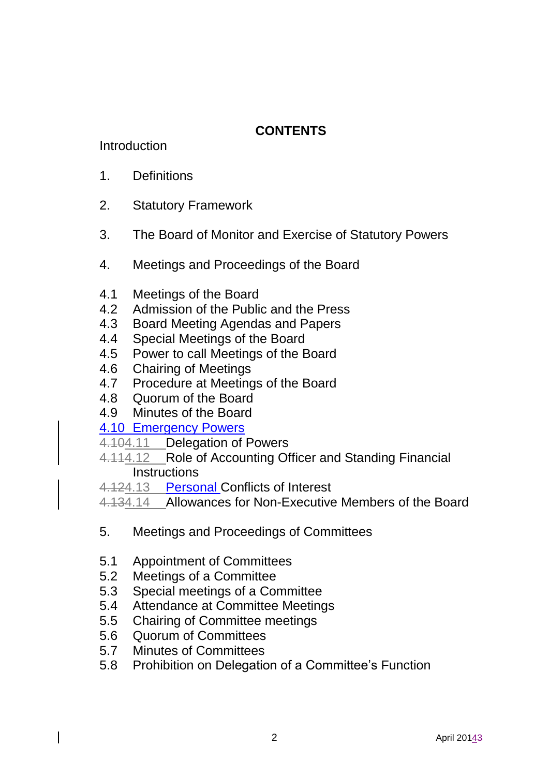# **CONTENTS**

# Introduction

- 1. Definitions
- 2. Statutory Framework
- 3. The Board of Monitor and Exercise of Statutory Powers
- 4. Meetings and Proceedings of the Board
- 4.1 Meetings of the Board
- 4.2 Admission of the Public and the Press
- 4.3 Board Meeting Agendas and Papers
- 4.4 Special Meetings of the Board
- 4.5 Power to call Meetings of the Board
- 4.6 Chairing of Meetings
- 4.7 Procedure at Meetings of the Board
- 4.8 Quorum of the Board
- 4.9 Minutes of the Board
- 4.10 Emergency Powers
- 4.104.11 Delegation of Powers
- 4.114.12 Role of Accounting Officer and Standing Financial **Instructions**
- 4.124.13 Personal Conflicts of Interest
- 4.134.14 Allowances for Non-Executive Members of the Board
- 5. Meetings and Proceedings of Committees
- 5.1 Appointment of Committees
- 5.2 Meetings of a Committee
- 5.3 Special meetings of a Committee
- 5.4 Attendance at Committee Meetings
- 5.5 Chairing of Committee meetings
- 5.6 Quorum of Committees
- 5.7 Minutes of Committees
- 5.8 Prohibition on Delegation of a Committee's Function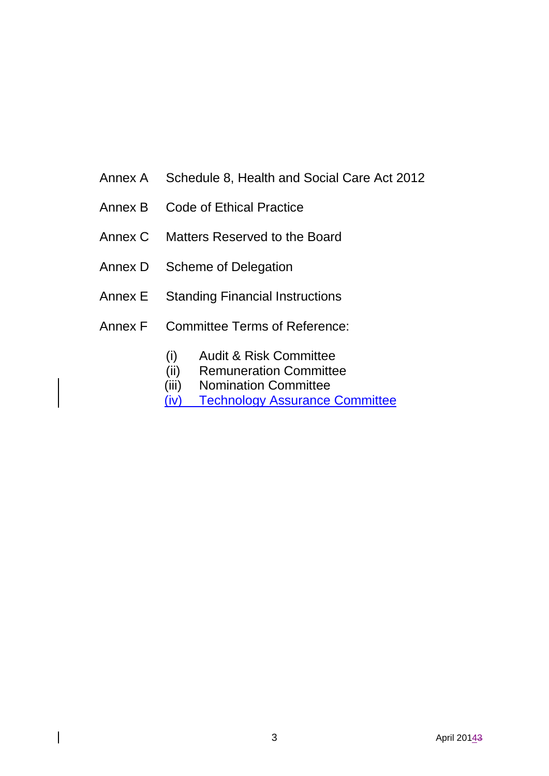- Annex A Schedule 8, Health and Social Care Act 2012
- Annex B Code of Ethical Practice
- Annex C Matters Reserved to the Board
- Annex D Scheme of Delegation
- Annex E Standing Financial Instructions
- Annex F Committee Terms of Reference:
	- (i) Audit & Risk Committee
	- (ii) Remuneration Committee
	- (iii) Nomination Committee
	- (iv) Technology Assurance Committee

 $\begin{array}{c} \hline \end{array}$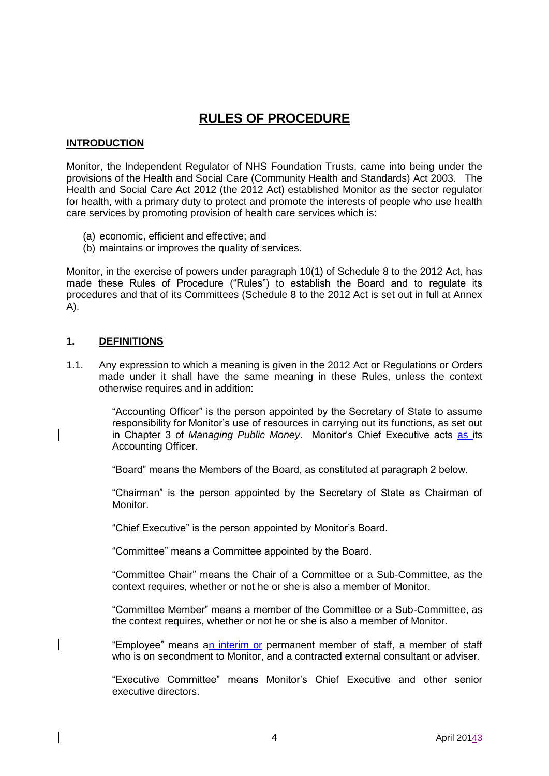# **RULES OF PROCEDURE**

### **INTRODUCTION**

Monitor, the Independent Regulator of NHS Foundation Trusts, came into being under the provisions of the Health and Social Care (Community Health and Standards) Act 2003. The Health and Social Care Act 2012 (the 2012 Act) established Monitor as the sector regulator for health, with a primary duty to protect and promote the interests of people who use health care services by promoting provision of health care services which is:

- (a) economic, efficient and effective; and
- (b) maintains or improves the quality of services.

Monitor, in the exercise of powers under paragraph 10(1) of Schedule 8 to the 2012 Act, has made these Rules of Procedure ("Rules") to establish the Board and to regulate its procedures and that of its Committees (Schedule 8 to the 2012 Act is set out in full at Annex A).

#### **1. DEFINITIONS**

1.1. Any expression to which a meaning is given in the 2012 Act or Regulations or Orders made under it shall have the same meaning in these Rules, unless the context otherwise requires and in addition:

> "Accounting Officer" is the person appointed by the Secretary of State to assume responsibility for Monitor's use of resources in carrying out its functions, as set out in Chapter 3 of *Managing Public Money*. Monitor's Chief Executive acts as its Accounting Officer.

"Board" means the Members of the Board, as constituted at paragraph 2 below.

"Chairman" is the person appointed by the Secretary of State as Chairman of Monitor.

"Chief Executive" is the person appointed by Monitor's Board.

"Committee" means a Committee appointed by the Board.

"Committee Chair" means the Chair of a Committee or a Sub-Committee, as the context requires, whether or not he or she is also a member of Monitor.

"Committee Member" means a member of the Committee or a Sub-Committee, as the context requires, whether or not he or she is also a member of Monitor.

"Employee" means an interim or permanent member of staff, a member of staff who is on secondment to Monitor, and a contracted external consultant or adviser.

"Executive Committee" means Monitor's Chief Executive and other senior executive directors.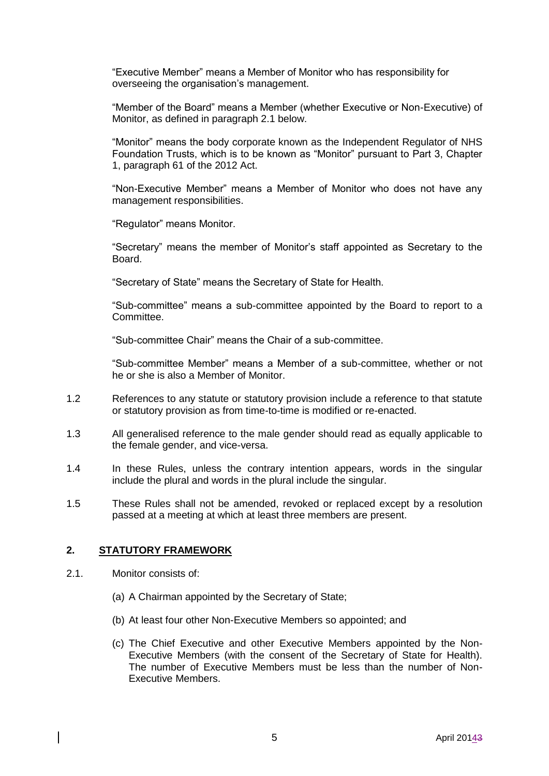"Executive Member" means a Member of Monitor who has responsibility for overseeing the organisation's management.

"Member of the Board" means a Member (whether Executive or Non-Executive) of Monitor, as defined in paragraph 2.1 below.

"Monitor" means the body corporate known as the Independent Regulator of NHS Foundation Trusts, which is to be known as "Monitor" pursuant to Part 3, Chapter 1, paragraph 61 of the 2012 Act.

"Non-Executive Member" means a Member of Monitor who does not have any management responsibilities.

"Regulator" means Monitor.

"Secretary" means the member of Monitor's staff appointed as Secretary to the Board.

"Secretary of State" means the Secretary of State for Health.

"Sub-committee" means a sub-committee appointed by the Board to report to a Committee.

"Sub-committee Chair" means the Chair of a sub-committee.

"Sub-committee Member" means a Member of a sub-committee, whether or not he or she is also a Member of Monitor.

- 1.2 References to any statute or statutory provision include a reference to that statute or statutory provision as from time-to-time is modified or re-enacted.
- 1.3 All generalised reference to the male gender should read as equally applicable to the female gender, and vice-versa.
- 1.4 In these Rules, unless the contrary intention appears, words in the singular include the plural and words in the plural include the singular.
- 1.5 These Rules shall not be amended, revoked or replaced except by a resolution passed at a meeting at which at least three members are present.

# **2. STATUTORY FRAMEWORK**

- 2.1. Monitor consists of:
	- (a) A Chairman appointed by the Secretary of State;
	- (b) At least four other Non-Executive Members so appointed; and
	- (c) The Chief Executive and other Executive Members appointed by the Non-Executive Members (with the consent of the Secretary of State for Health). The number of Executive Members must be less than the number of Non-Executive Members.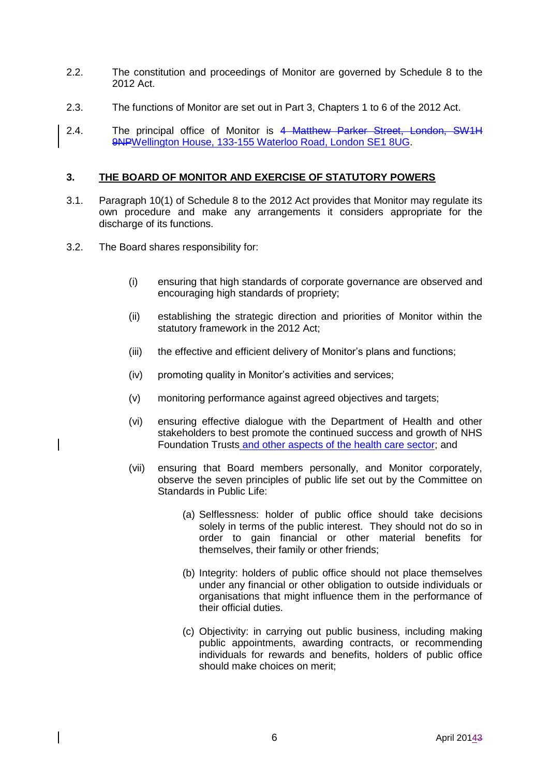- 2.2. The constitution and proceedings of Monitor are governed by Schedule 8 to the 2012 Act.
- 2.3. The functions of Monitor are set out in Part 3, Chapters 1 to 6 of the 2012 Act.
- 2.4. The principal office of Monitor is 4 Matthew Parker Street, London, SW1H 9NPWellington House, 133-155 Waterloo Road, London SE1 8UG.

#### **3. THE BOARD OF MONITOR AND EXERCISE OF STATUTORY POWERS**

- 3.1. Paragraph 10(1) of Schedule 8 to the 2012 Act provides that Monitor may regulate its own procedure and make any arrangements it considers appropriate for the discharge of its functions.
- 3.2. The Board shares responsibility for:
	- (i) ensuring that high standards of corporate governance are observed and encouraging high standards of propriety;
	- (ii) establishing the strategic direction and priorities of Monitor within the statutory framework in the 2012 Act;
	- (iii) the effective and efficient delivery of Monitor's plans and functions;
	- (iv) promoting quality in Monitor's activities and services;
	- (v) monitoring performance against agreed objectives and targets;
	- (vi) ensuring effective dialogue with the Department of Health and other stakeholders to best promote the continued success and growth of NHS Foundation Trusts and other aspects of the health care sector; and
	- (vii) ensuring that Board members personally, and Monitor corporately, observe the seven principles of public life set out by the Committee on Standards in Public Life:
		- (a) Selflessness: holder of public office should take decisions solely in terms of the public interest. They should not do so in order to gain financial or other material benefits for themselves, their family or other friends;
		- (b) Integrity: holders of public office should not place themselves under any financial or other obligation to outside individuals or organisations that might influence them in the performance of their official duties.
		- (c) Objectivity: in carrying out public business, including making public appointments, awarding contracts, or recommending individuals for rewards and benefits, holders of public office should make choices on merit;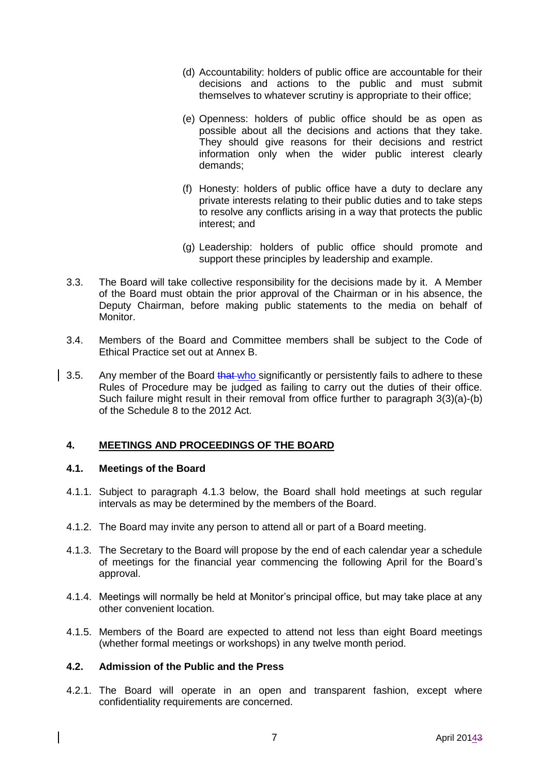- (d) Accountability: holders of public office are accountable for their decisions and actions to the public and must submit themselves to whatever scrutiny is appropriate to their office;
- (e) Openness: holders of public office should be as open as possible about all the decisions and actions that they take. They should give reasons for their decisions and restrict information only when the wider public interest clearly demands;
- (f) Honesty: holders of public office have a duty to declare any private interests relating to their public duties and to take steps to resolve any conflicts arising in a way that protects the public interest; and
- (g) Leadership: holders of public office should promote and support these principles by leadership and example.
- 3.3. The Board will take collective responsibility for the decisions made by it. A Member of the Board must obtain the prior approval of the Chairman or in his absence, the Deputy Chairman, before making public statements to the media on behalf of Monitor.
- 3.4. Members of the Board and Committee members shall be subject to the Code of Ethical Practice set out at Annex B.
- 3.5. Any member of the Board that who significantly or persistently fails to adhere to these Rules of Procedure may be judged as failing to carry out the duties of their office. Such failure might result in their removal from office further to paragraph 3(3)(a)-(b) of the Schedule 8 to the 2012 Act.

#### **4. MEETINGS AND PROCEEDINGS OF THE BOARD**

#### **4.1. Meetings of the Board**

- 4.1.1. Subject to paragraph 4.1.3 below, the Board shall hold meetings at such regular intervals as may be determined by the members of the Board.
- 4.1.2. The Board may invite any person to attend all or part of a Board meeting.
- 4.1.3. The Secretary to the Board will propose by the end of each calendar year a schedule of meetings for the financial year commencing the following April for the Board's approval.
- 4.1.4. Meetings will normally be held at Monitor's principal office, but may take place at any other convenient location.
- 4.1.5. Members of the Board are expected to attend not less than eight Board meetings (whether formal meetings or workshops) in any twelve month period.

#### **4.2. Admission of the Public and the Press**

4.2.1. The Board will operate in an open and transparent fashion, except where confidentiality requirements are concerned.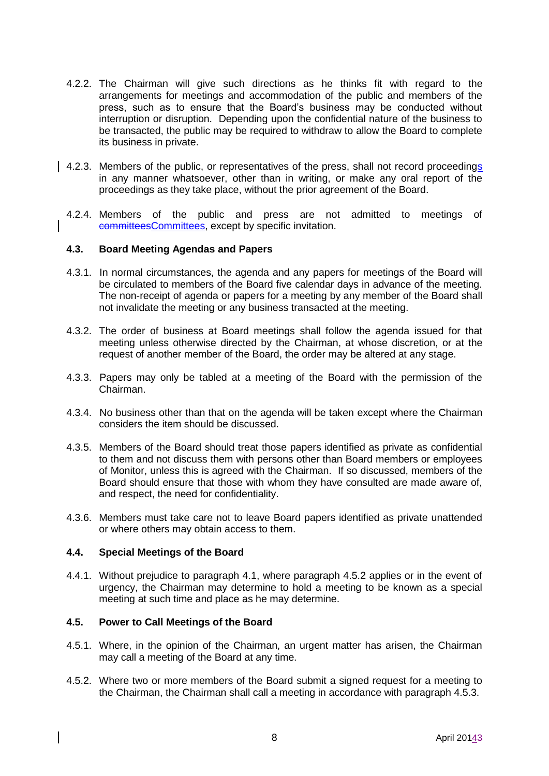- 4.2.2. The Chairman will give such directions as he thinks fit with regard to the arrangements for meetings and accommodation of the public and members of the press, such as to ensure that the Board's business may be conducted without interruption or disruption. Depending upon the confidential nature of the business to be transacted, the public may be required to withdraw to allow the Board to complete its business in private.
- 4.2.3. Members of the public, or representatives of the press, shall not record proceedings in any manner whatsoever, other than in writing, or make any oral report of the proceedings as they take place, without the prior agreement of the Board.
	- 4.2.4. Members of the public and press are not admitted to meetings of committeesCommittees, except by specific invitation.

#### **4.3. Board Meeting Agendas and Papers**

- 4.3.1. In normal circumstances, the agenda and any papers for meetings of the Board will be circulated to members of the Board five calendar days in advance of the meeting. The non-receipt of agenda or papers for a meeting by any member of the Board shall not invalidate the meeting or any business transacted at the meeting.
- 4.3.2. The order of business at Board meetings shall follow the agenda issued for that meeting unless otherwise directed by the Chairman, at whose discretion, or at the request of another member of the Board, the order may be altered at any stage.
- 4.3.3. Papers may only be tabled at a meeting of the Board with the permission of the Chairman.
- 4.3.4. No business other than that on the agenda will be taken except where the Chairman considers the item should be discussed.
- 4.3.5. Members of the Board should treat those papers identified as private as confidential to them and not discuss them with persons other than Board members or employees of Monitor, unless this is agreed with the Chairman. If so discussed, members of the Board should ensure that those with whom they have consulted are made aware of, and respect, the need for confidentiality.
- 4.3.6. Members must take care not to leave Board papers identified as private unattended or where others may obtain access to them.

#### **4.4. Special Meetings of the Board**

4.4.1. Without prejudice to paragraph 4.1, where paragraph 4.5.2 applies or in the event of urgency, the Chairman may determine to hold a meeting to be known as a special meeting at such time and place as he may determine.

#### **4.5. Power to Call Meetings of the Board**

- 4.5.1. Where, in the opinion of the Chairman, an urgent matter has arisen, the Chairman may call a meeting of the Board at any time.
- 4.5.2. Where two or more members of the Board submit a signed request for a meeting to the Chairman, the Chairman shall call a meeting in accordance with paragraph 4.5.3.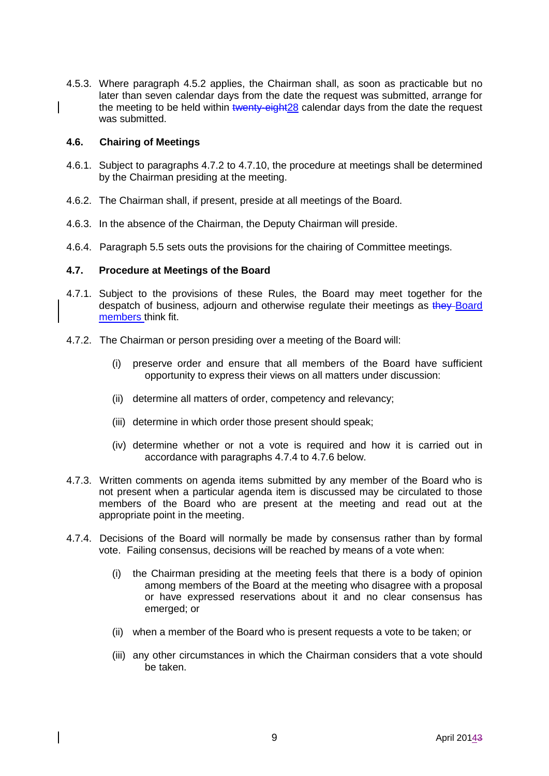4.5.3. Where paragraph 4.5.2 applies, the Chairman shall, as soon as practicable but no later than seven calendar days from the date the request was submitted, arrange for the meeting to be held within twenty-eight 28 calendar days from the date the request was submitted.

#### **4.6. Chairing of Meetings**

- 4.6.1. Subject to paragraphs 4.7.2 to 4.7.10, the procedure at meetings shall be determined by the Chairman presiding at the meeting.
- 4.6.2. The Chairman shall, if present, preside at all meetings of the Board.
- 4.6.3. In the absence of the Chairman, the Deputy Chairman will preside.
- 4.6.4. Paragraph 5.5 sets outs the provisions for the chairing of Committee meetings.

#### **4.7. Procedure at Meetings of the Board**

- 4.7.1. Subject to the provisions of these Rules, the Board may meet together for the despatch of business, adjourn and otherwise regulate their meetings as they Board members think fit.
- 4.7.2. The Chairman or person presiding over a meeting of the Board will:
	- (i) preserve order and ensure that all members of the Board have sufficient opportunity to express their views on all matters under discussion:
	- (ii) determine all matters of order, competency and relevancy;
	- (iii) determine in which order those present should speak;
	- (iv) determine whether or not a vote is required and how it is carried out in accordance with paragraphs 4.7.4 to 4.7.6 below.
- 4.7.3. Written comments on agenda items submitted by any member of the Board who is not present when a particular agenda item is discussed may be circulated to those members of the Board who are present at the meeting and read out at the appropriate point in the meeting.
- 4.7.4. Decisions of the Board will normally be made by consensus rather than by formal vote. Failing consensus, decisions will be reached by means of a vote when:
	- (i) the Chairman presiding at the meeting feels that there is a body of opinion among members of the Board at the meeting who disagree with a proposal or have expressed reservations about it and no clear consensus has emerged; or
	- (ii) when a member of the Board who is present requests a vote to be taken; or
	- (iii) any other circumstances in which the Chairman considers that a vote should be taken.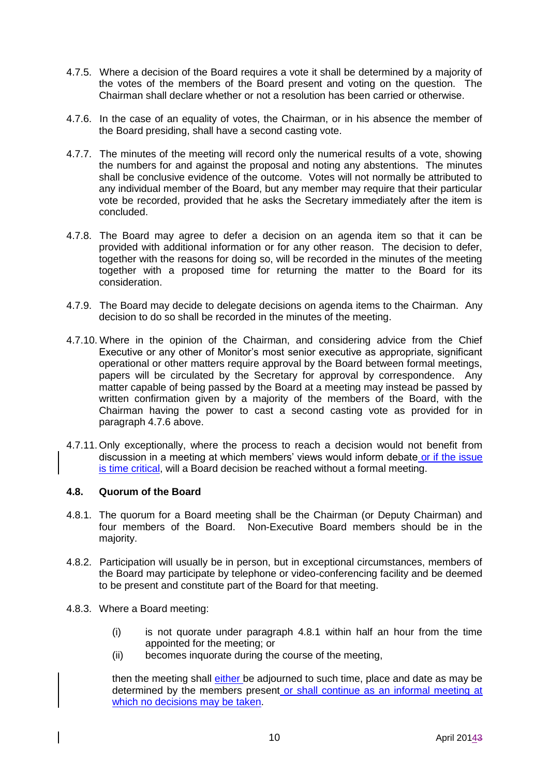- 4.7.5. Where a decision of the Board requires a vote it shall be determined by a majority of the votes of the members of the Board present and voting on the question. The Chairman shall declare whether or not a resolution has been carried or otherwise.
- 4.7.6. In the case of an equality of votes, the Chairman, or in his absence the member of the Board presiding, shall have a second casting vote.
- 4.7.7. The minutes of the meeting will record only the numerical results of a vote, showing the numbers for and against the proposal and noting any abstentions. The minutes shall be conclusive evidence of the outcome. Votes will not normally be attributed to any individual member of the Board, but any member may require that their particular vote be recorded, provided that he asks the Secretary immediately after the item is concluded.
- 4.7.8. The Board may agree to defer a decision on an agenda item so that it can be provided with additional information or for any other reason. The decision to defer, together with the reasons for doing so, will be recorded in the minutes of the meeting together with a proposed time for returning the matter to the Board for its consideration.
- 4.7.9. The Board may decide to delegate decisions on agenda items to the Chairman. Any decision to do so shall be recorded in the minutes of the meeting.
- 4.7.10. Where in the opinion of the Chairman, and considering advice from the Chief Executive or any other of Monitor's most senior executive as appropriate, significant operational or other matters require approval by the Board between formal meetings, papers will be circulated by the Secretary for approval by correspondence. Any matter capable of being passed by the Board at a meeting may instead be passed by written confirmation given by a majority of the members of the Board, with the Chairman having the power to cast a second casting vote as provided for in paragraph 4.7.6 above.
- 4.7.11. Only exceptionally, where the process to reach a decision would not benefit from discussion in a meeting at which members' views would inform debate or if the issue is time critical, will a Board decision be reached without a formal meeting.

#### **4.8. Quorum of the Board**

- 4.8.1. The quorum for a Board meeting shall be the Chairman (or Deputy Chairman) and four members of the Board. Non-Executive Board members should be in the majority.
- 4.8.2. Participation will usually be in person, but in exceptional circumstances, members of the Board may participate by telephone or video-conferencing facility and be deemed to be present and constitute part of the Board for that meeting.
- 4.8.3. Where a Board meeting:
	- (i) is not quorate under paragraph 4.8.1 within half an hour from the time appointed for the meeting; or
	- (ii) becomes inquorate during the course of the meeting,

then the meeting shall either be adjourned to such time, place and date as may be determined by the members present or shall continue as an informal meeting at which no decisions may be taken.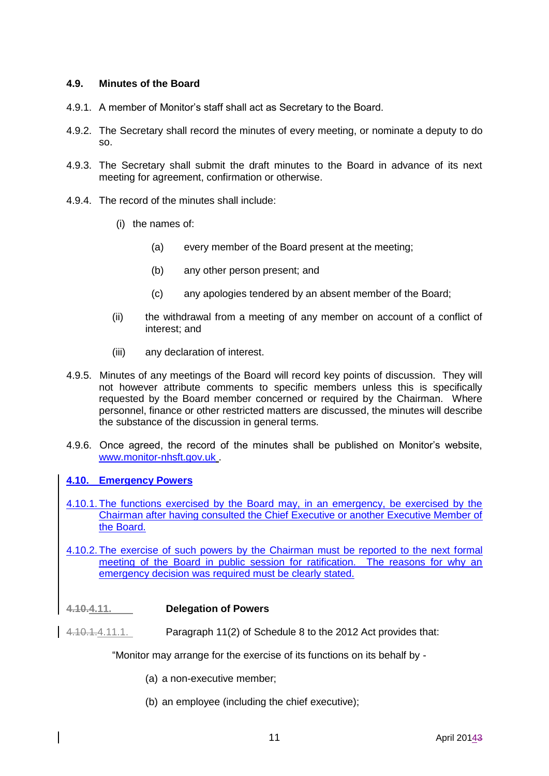#### **4.9. Minutes of the Board**

- 4.9.1. A member of Monitor's staff shall act as Secretary to the Board.
- 4.9.2. The Secretary shall record the minutes of every meeting, or nominate a deputy to do so.
- 4.9.3. The Secretary shall submit the draft minutes to the Board in advance of its next meeting for agreement, confirmation or otherwise.
- 4.9.4. The record of the minutes shall include:
	- (i) the names of:
		- (a) every member of the Board present at the meeting;
		- (b) any other person present; and
		- (c) any apologies tendered by an absent member of the Board;
	- (ii) the withdrawal from a meeting of any member on account of a conflict of interest; and
	- (iii) any declaration of interest.
- 4.9.5. Minutes of any meetings of the Board will record key points of discussion. They will not however attribute comments to specific members unless this is specifically requested by the Board member concerned or required by the Chairman. Where personnel, finance or other restricted matters are discussed, the minutes will describe the substance of the discussion in general terms.
- 4.9.6. Once agreed, the record of the minutes shall be published on Monitor's website, [www.monitor-nhsft.gov.uk](http://www.monitor-nhsft.gov.uk/) .

# **4.10. Emergency Powers**

4.10.1. The functions exercised by the Board may, in an emergency, be exercised by the Chairman after having consulted the Chief Executive or another Executive Member of the Board.

4.10.2. The exercise of such powers by the Chairman must be reported to the next formal meeting of the Board in public session for ratification. The reasons for why an emergency decision was required must be clearly stated.

#### **4.10.4.11. Delegation of Powers**

4.10.1.4.11.1. Paragraph 11(2) of Schedule 8 to the 2012 Act provides that:

"Monitor may arrange for the exercise of its functions on its behalf by -

- (a) a non-executive member;
- (b) an employee (including the chief executive);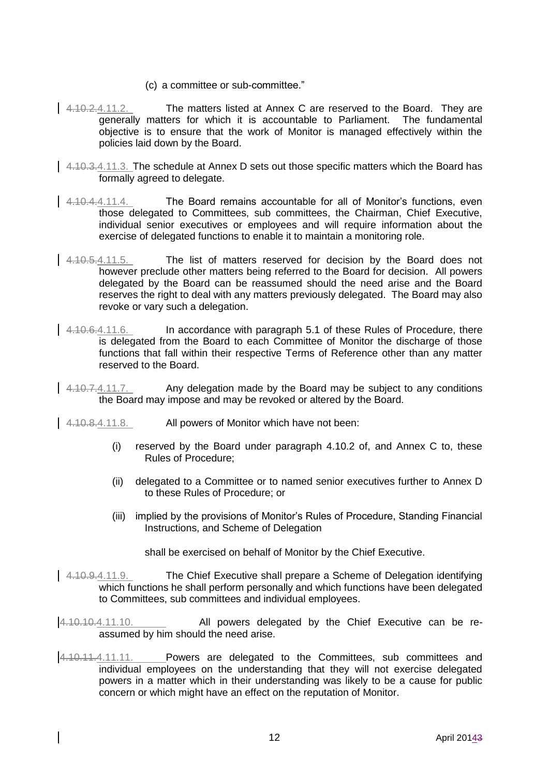- (c) a committee or sub-committee."
- $\vert$  4.10.2.4.11.2. The matters listed at Annex C are reserved to the Board. They are generally matters for which it is accountable to Parliament. The fundamental objective is to ensure that the work of Monitor is managed effectively within the policies laid down by the Board.
- $\vert$  4.10.3.4.11.3. The schedule at Annex D sets out those specific matters which the Board has formally agreed to delegate.
- 4.10.4.4.11.4. The Board remains accountable for all of Monitor's functions, even those delegated to Committees, sub committees, the Chairman, Chief Executive, individual senior executives or employees and will require information about the exercise of delegated functions to enable it to maintain a monitoring role.
- 4.10.5.4.11.5. The list of matters reserved for decision by the Board does not however preclude other matters being referred to the Board for decision. All powers delegated by the Board can be reassumed should the need arise and the Board reserves the right to deal with any matters previously delegated. The Board may also revoke or vary such a delegation.
- 1 4.10.6.4.11.6. In accordance with paragraph 5.1 of these Rules of Procedure, there is delegated from the Board to each Committee of Monitor the discharge of those functions that fall within their respective Terms of Reference other than any matter reserved to the Board.
- 4.10.7.4.11.7. Any delegation made by the Board may be subject to any conditions the Board may impose and may be revoked or altered by the Board.
- 4.10.8.4.11.8. All powers of Monitor which have not been:
	- (i) reserved by the Board under paragraph 4.10.2 of, and Annex C to, these Rules of Procedure;
	- (ii) delegated to a Committee or to named senior executives further to Annex D to these Rules of Procedure; or
	- (iii) implied by the provisions of Monitor's Rules of Procedure, Standing Financial Instructions, and Scheme of Delegation

shall be exercised on behalf of Monitor by the Chief Executive.

- 4.10.9.4.11.9. The Chief Executive shall prepare a Scheme of Delegation identifying which functions he shall perform personally and which functions have been delegated to Committees, sub committees and individual employees.
- 4.10.10.4.11.10. All powers delegated by the Chief Executive can be reassumed by him should the need arise.
- 4.10.11.4.11.11. Powers are delegated to the Committees, sub committees and individual employees on the understanding that they will not exercise delegated powers in a matter which in their understanding was likely to be a cause for public concern or which might have an effect on the reputation of Monitor.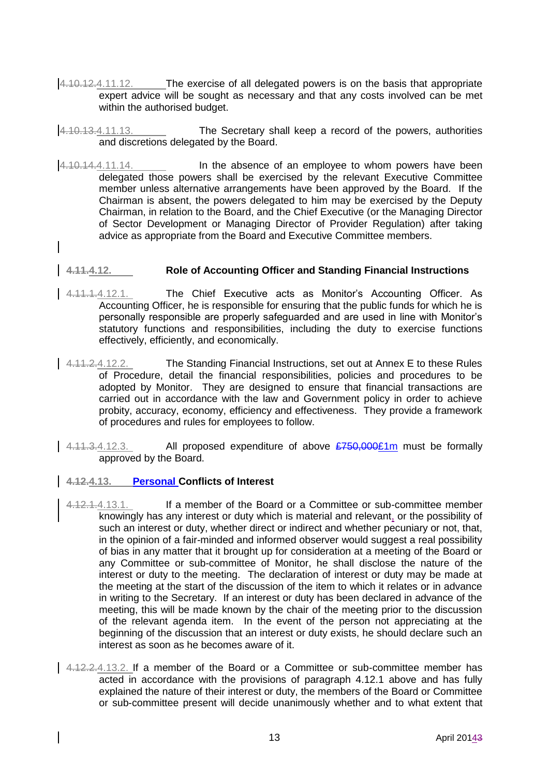4.10.12.4.11.12. The exercise of all delegated powers is on the basis that appropriate expert advice will be sought as necessary and that any costs involved can be met within the authorised budget.

4.10.13.4.11.13. The Secretary shall keep a record of the powers, authorities and discretions delegated by the Board.

4.10.14.4.11.14. In the absence of an employee to whom powers have been delegated those powers shall be exercised by the relevant Executive Committee member unless alternative arrangements have been approved by the Board. If the Chairman is absent, the powers delegated to him may be exercised by the Deputy Chairman, in relation to the Board, and the Chief Executive (or the Managing Director of Sector Development or Managing Director of Provider Regulation) after taking advice as appropriate from the Board and Executive Committee members.

#### **4.11.4.12. Role of Accounting Officer and Standing Financial Instructions**

- 4.11.1.4.12.1. The Chief Executive acts as Monitor's Accounting Officer. As Accounting Officer, he is responsible for ensuring that the public funds for which he is personally responsible are properly safeguarded and are used in line with Monitor's statutory functions and responsibilities, including the duty to exercise functions effectively, efficiently, and economically.
- 4.11.2.4.12.2. The Standing Financial Instructions, set out at Annex E to these Rules of Procedure, detail the financial responsibilities, policies and procedures to be adopted by Monitor. They are designed to ensure that financial transactions are carried out in accordance with the law and Government policy in order to achieve probity, accuracy, economy, efficiency and effectiveness. They provide a framework of procedures and rules for employees to follow.
- 4.11.3.4.12.3. All proposed expenditure of above £750,000£1m must be formally approved by the Board.

#### **4.12.4.13. Personal Conflicts of Interest**

- 4.12.1.4.13.1. If a member of the Board or a Committee or sub-committee member knowingly has any interest or duty which is material and relevant, or the possibility of such an interest or duty, whether direct or indirect and whether pecuniary or not, that, in the opinion of a fair-minded and informed observer would suggest a real possibility of bias in any matter that it brought up for consideration at a meeting of the Board or any Committee or sub-committee of Monitor, he shall disclose the nature of the interest or duty to the meeting. The declaration of interest or duty may be made at the meeting at the start of the discussion of the item to which it relates or in advance in writing to the Secretary. If an interest or duty has been declared in advance of the meeting, this will be made known by the chair of the meeting prior to the discussion of the relevant agenda item. In the event of the person not appreciating at the beginning of the discussion that an interest or duty exists, he should declare such an interest as soon as he becomes aware of it.
- 4.12.2.4.13.2. If a member of the Board or a Committee or sub-committee member has acted in accordance with the provisions of paragraph 4.12.1 above and has fully explained the nature of their interest or duty, the members of the Board or Committee or sub-committee present will decide unanimously whether and to what extent that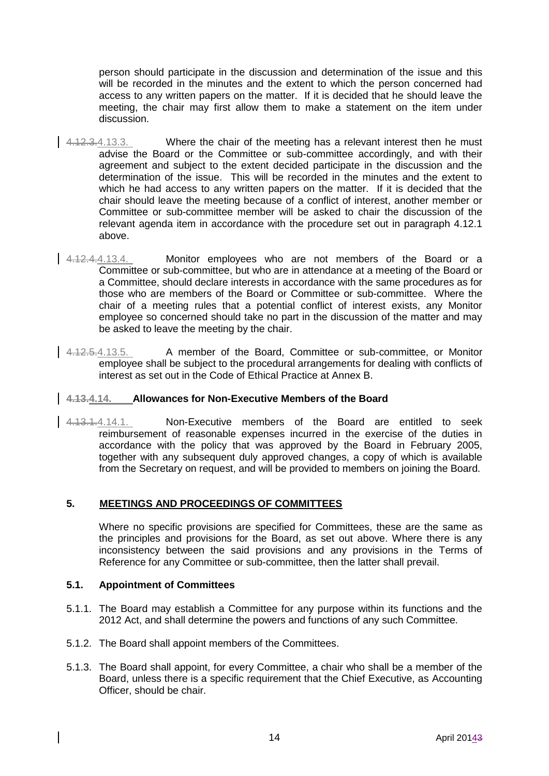person should participate in the discussion and determination of the issue and this will be recorded in the minutes and the extent to which the person concerned had access to any written papers on the matter. If it is decided that he should leave the meeting, the chair may first allow them to make a statement on the item under discussion.

- 4.12.3.4.13.3. Where the chair of the meeting has a relevant interest then he must advise the Board or the Committee or sub-committee accordingly, and with their agreement and subject to the extent decided participate in the discussion and the determination of the issue. This will be recorded in the minutes and the extent to which he had access to any written papers on the matter. If it is decided that the chair should leave the meeting because of a conflict of interest, another member or Committee or sub-committee member will be asked to chair the discussion of the relevant agenda item in accordance with the procedure set out in paragraph 4.12.1 above.
- 1.4.12.4.4.13.4. Monitor employees who are not members of the Board or a Committee or sub-committee, but who are in attendance at a meeting of the Board or a Committee, should declare interests in accordance with the same procedures as for those who are members of the Board or Committee or sub-committee. Where the chair of a meeting rules that a potential conflict of interest exists, any Monitor employee so concerned should take no part in the discussion of the matter and may be asked to leave the meeting by the chair.
- 4.12.5.4.13.5. A member of the Board, Committee or sub-committee, or Monitor employee shall be subject to the procedural arrangements for dealing with conflicts of interest as set out in the Code of Ethical Practice at Annex B.

#### **4.13.4.14. Allowances for Non-Executive Members of the Board**

4.13.1.4.14.1. Non-Executive members of the Board are entitled to seek reimbursement of reasonable expenses incurred in the exercise of the duties in accordance with the policy that was approved by the Board in February 2005, together with any subsequent duly approved changes, a copy of which is available from the Secretary on request, and will be provided to members on joining the Board.

#### **5. MEETINGS AND PROCEEDINGS OF COMMITTEES**

Where no specific provisions are specified for Committees, these are the same as the principles and provisions for the Board, as set out above. Where there is any inconsistency between the said provisions and any provisions in the Terms of Reference for any Committee or sub-committee, then the latter shall prevail.

#### **5.1. Appointment of Committees**

- 5.1.1. The Board may establish a Committee for any purpose within its functions and the 2012 Act, and shall determine the powers and functions of any such Committee.
- 5.1.2. The Board shall appoint members of the Committees.
- 5.1.3. The Board shall appoint, for every Committee, a chair who shall be a member of the Board, unless there is a specific requirement that the Chief Executive, as Accounting Officer, should be chair.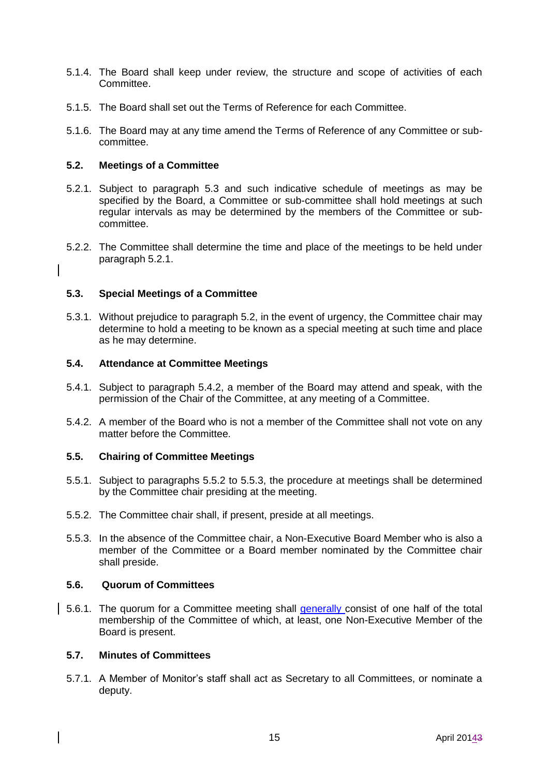- 5.1.4. The Board shall keep under review, the structure and scope of activities of each Committee.
- 5.1.5. The Board shall set out the Terms of Reference for each Committee.
- 5.1.6. The Board may at any time amend the Terms of Reference of any Committee or subcommittee.

#### **5.2. Meetings of a Committee**

- 5.2.1. Subject to paragraph 5.3 and such indicative schedule of meetings as may be specified by the Board, a Committee or sub-committee shall hold meetings at such regular intervals as may be determined by the members of the Committee or subcommittee.
- 5.2.2. The Committee shall determine the time and place of the meetings to be held under paragraph 5.2.1.

#### **5.3. Special Meetings of a Committee**

5.3.1. Without prejudice to paragraph 5.2, in the event of urgency, the Committee chair may determine to hold a meeting to be known as a special meeting at such time and place as he may determine.

#### **5.4. Attendance at Committee Meetings**

- 5.4.1. Subject to paragraph 5.4.2, a member of the Board may attend and speak, with the permission of the Chair of the Committee, at any meeting of a Committee.
- 5.4.2. A member of the Board who is not a member of the Committee shall not vote on any matter before the Committee.

#### **5.5. Chairing of Committee Meetings**

- 5.5.1. Subject to paragraphs 5.5.2 to 5.5.3, the procedure at meetings shall be determined by the Committee chair presiding at the meeting.
- 5.5.2. The Committee chair shall, if present, preside at all meetings.
- 5.5.3. In the absence of the Committee chair, a Non-Executive Board Member who is also a member of the Committee or a Board member nominated by the Committee chair shall preside.

#### **5.6. Quorum of Committees**

5.6.1. The quorum for a Committee meeting shall generally consist of one half of the total membership of the Committee of which, at least, one Non-Executive Member of the Board is present.

#### **5.7. Minutes of Committees**

5.7.1. A Member of Monitor's staff shall act as Secretary to all Committees, or nominate a deputy.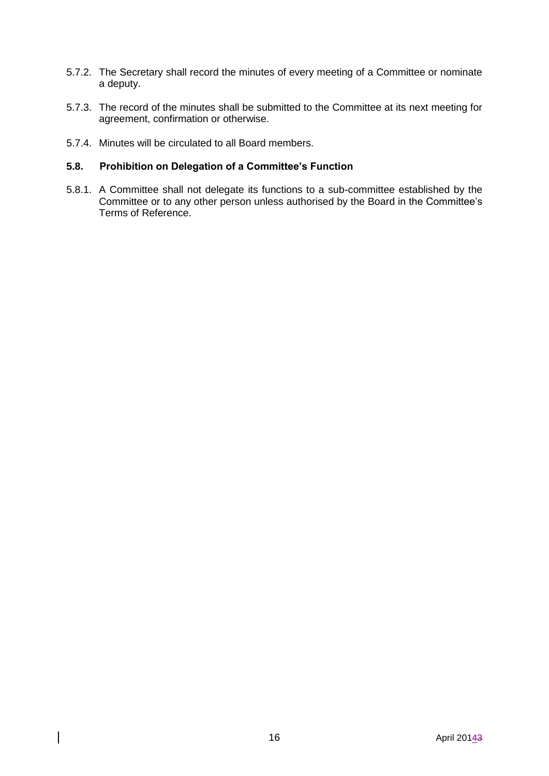- 5.7.2. The Secretary shall record the minutes of every meeting of a Committee or nominate a deputy.
- 5.7.3. The record of the minutes shall be submitted to the Committee at its next meeting for agreement, confirmation or otherwise.
- 5.7.4. Minutes will be circulated to all Board members.

#### **5.8. Prohibition on Delegation of a Committee's Function**

5.8.1. A Committee shall not delegate its functions to a sub-committee established by the Committee or to any other person unless authorised by the Board in the Committee's Terms of Reference.

 $\overline{\phantom{a}}$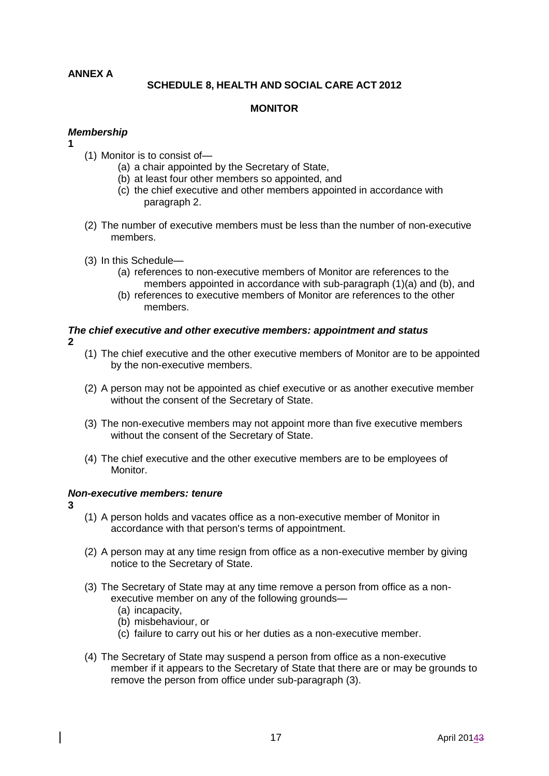#### **ANNEX A**

### **SCHEDULE 8, HEALTH AND SOCIAL CARE ACT 2012**

#### **MONITOR**

#### *Membership*

- **1**
- (1) Monitor is to consist of—
	- (a) a chair appointed by the Secretary of State,
		- (b) at least four other members so appointed, and
		- (c) the chief executive and other members appointed in accordance with paragraph 2.
- (2) The number of executive members must be less than the number of non-executive members.
- (3) In this Schedule—
	- (a) references to non-executive members of Monitor are references to the members appointed in accordance with sub-paragraph (1)(a) and (b), and
	- (b) references to executive members of Monitor are references to the other members.

#### *The chief executive and other executive members: appointment and status* **2**

- (1) The chief executive and the other executive members of Monitor are to be appointed by the non-executive members.
- (2) A person may not be appointed as chief executive or as another executive member without the consent of the Secretary of State.
- (3) The non-executive members may not appoint more than five executive members without the consent of the Secretary of State.
- (4) The chief executive and the other executive members are to be employees of Monitor.

#### *Non-executive members: tenure*

- **3**
- (1) A person holds and vacates office as a non-executive member of Monitor in accordance with that person's terms of appointment.
- (2) A person may at any time resign from office as a non-executive member by giving notice to the Secretary of State.
- (3) The Secretary of State may at any time remove a person from office as a nonexecutive member on any of the following grounds—
	- (a) incapacity,
	- (b) misbehaviour, or
	- (c) failure to carry out his or her duties as a non-executive member.
- (4) The Secretary of State may suspend a person from office as a non-executive member if it appears to the Secretary of State that there are or may be grounds to remove the person from office under sub-paragraph (3).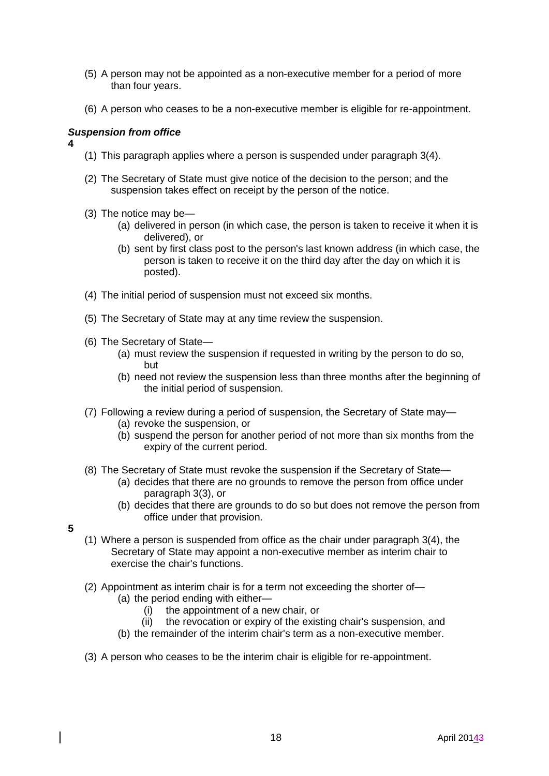- (5) A person may not be appointed as a non-executive member for a period of more than four years.
- (6) A person who ceases to be a non-executive member is eligible for re-appointment.

# *Suspension from office*

**4**

- (1) This paragraph applies where a person is suspended under paragraph 3(4).
- (2) The Secretary of State must give notice of the decision to the person; and the suspension takes effect on receipt by the person of the notice.
- (3) The notice may be—
	- (a) delivered in person (in which case, the person is taken to receive it when it is delivered), or
	- (b) sent by first class post to the person's last known address (in which case, the person is taken to receive it on the third day after the day on which it is posted).
- (4) The initial period of suspension must not exceed six months.
- (5) The Secretary of State may at any time review the suspension.
- (6) The Secretary of State—
	- (a) must review the suspension if requested in writing by the person to do so, but
	- (b) need not review the suspension less than three months after the beginning of the initial period of suspension.
- (7) Following a review during a period of suspension, the Secretary of State may—
	- (a) revoke the suspension, or
	- (b) suspend the person for another period of not more than six months from the expiry of the current period.
- (8) The Secretary of State must revoke the suspension if the Secretary of State—
	- (a) decides that there are no grounds to remove the person from office under paragraph 3(3), or
	- (b) decides that there are grounds to do so but does not remove the person from office under that provision.

#### **5**

- (1) Where a person is suspended from office as the chair under paragraph 3(4), the Secretary of State may appoint a non-executive member as interim chair to exercise the chair's functions.
- (2) Appointment as interim chair is for a term not exceeding the shorter of— (a) the period ending with either—
	- (i) the appointment of a new chair, or
	- (ii) the revocation or expiry of the existing chair's suspension, and
	- (b) the remainder of the interim chair's term as a non-executive member.
- (3) A person who ceases to be the interim chair is eligible for re-appointment.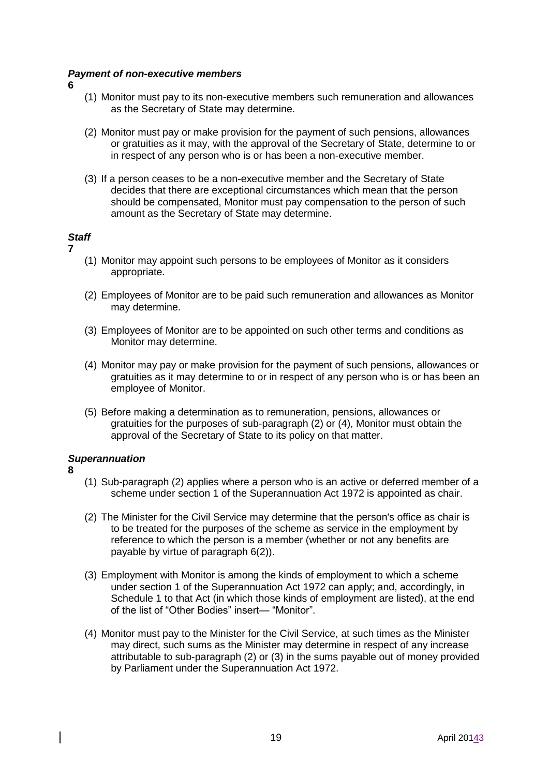#### *Payment of non-executive members*

**6**

- (1) Monitor must pay to its non-executive members such remuneration and allowances as the Secretary of State may determine.
- (2) Monitor must pay or make provision for the payment of such pensions, allowances or gratuities as it may, with the approval of the Secretary of State, determine to or in respect of any person who is or has been a non-executive member.
- (3) If a person ceases to be a non-executive member and the Secretary of State decides that there are exceptional circumstances which mean that the person should be compensated, Monitor must pay compensation to the person of such amount as the Secretary of State may determine.

#### *Staff*

- **7**
- (1) Monitor may appoint such persons to be employees of Monitor as it considers appropriate.
- (2) Employees of Monitor are to be paid such remuneration and allowances as Monitor may determine.
- (3) Employees of Monitor are to be appointed on such other terms and conditions as Monitor may determine.
- (4) Monitor may pay or make provision for the payment of such pensions, allowances or gratuities as it may determine to or in respect of any person who is or has been an employee of Monitor.
- (5) Before making a determination as to remuneration, pensions, allowances or gratuities for the purposes of sub-paragraph (2) or (4), Monitor must obtain the approval of the Secretary of State to its policy on that matter.

# *Superannuation*

- **8**
- (1) Sub-paragraph (2) applies where a person who is an active or deferred member of a scheme under [section 1](http://www.lexisnexis.com/uk/legal/search/enhRunRemoteLink.do?ersKey=23_T15823105167&langcountry=GB&backKey=20_T15823110313&linkInfo=F%23GB%23UK_ACTS%23section%251%25sect%251%25num%251972_11a%25&service=citation&A=0.9797109488914351) of the Superannuation Act 1972 is appointed as chair.
- (2) The Minister for the Civil Service may determine that the person's office as chair is to be treated for the purposes of the scheme as service in the employment by reference to which the person is a member (whether or not any benefits are payable by virtue of paragraph 6(2)).
- (3) Employment with Monitor is among the kinds of employment to which a scheme under [section 1](http://www.lexisnexis.com/uk/legal/search/enhRunRemoteLink.do?ersKey=23_T15823105167&langcountry=GB&backKey=20_T15823110313&linkInfo=F%23GB%23UK_ACTS%23section%251%25sect%251%25num%251972_11a%25&service=citation&A=0.18984307354715113) of the Superannuation Act 1972 can apply; and, accordingly, in Schedule 1 to that Act (in which those kinds of employment are listed), at the end of the list of "Other Bodies" insert— "Monitor".
- (4) Monitor must pay to the Minister for the Civil Service, at such times as the Minister may direct, such sums as the Minister may determine in respect of any increase attributable to sub-paragraph (2) or (3) in the sums payable out of money provided by Parliament under the [Superannuation Act 1972.](http://www.lexisnexis.com/uk/legal/search/enhRunRemoteLink.do?ersKey=23_T15823105167&langcountry=GB&backKey=20_T15823110313&linkInfo=F%23GB%23UK_ACTS%23num%251972_11a_Title%25&service=citation&A=0.7487172415078471)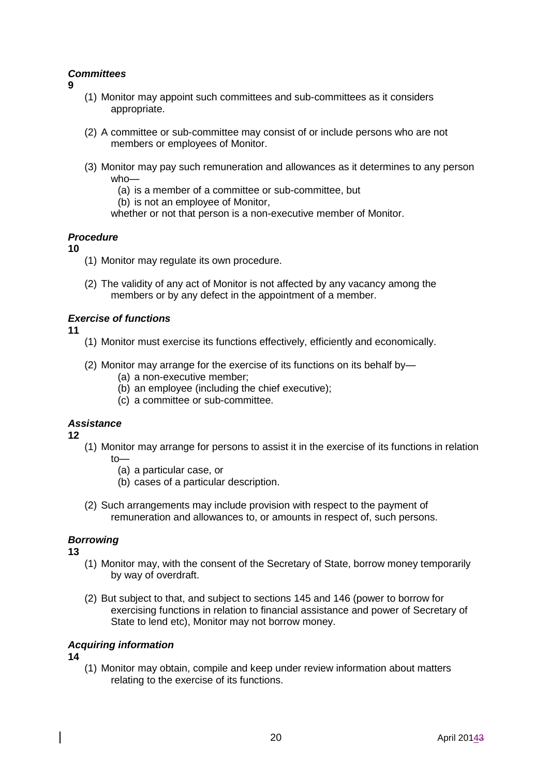# *Committees*

- **9**
- (1) Monitor may appoint such committees and sub-committees as it considers appropriate.
- (2) A committee or sub-committee may consist of or include persons who are not members or employees of Monitor.
- (3) Monitor may pay such remuneration and allowances as it determines to any person who—
	- (a) is a member of a committee or sub-committee, but
	- (b) is not an employee of Monitor,
	- whether or not that person is a non-executive member of Monitor.

#### *Procedure*

- **10**
- (1) Monitor may regulate its own procedure.
- (2) The validity of any act of Monitor is not affected by any vacancy among the members or by any defect in the appointment of a member.

#### *Exercise of functions*

**11**

- (1) Monitor must exercise its functions effectively, efficiently and economically.
- (2) Monitor may arrange for the exercise of its functions on its behalf by—
	- (a) a non-executive member;
	- (b) an employee (including the chief executive);
	- (c) a committee or sub-committee.

#### *Assistance*

**12**

- (1) Monitor may arrange for persons to assist it in the exercise of its functions in relation to—
	- (a) a particular case, or
	- (b) cases of a particular description.
- (2) Such arrangements may include provision with respect to the payment of remuneration and allowances to, or amounts in respect of, such persons.

#### *Borrowing*

**13**

- (1) Monitor may, with the consent of the Secretary of State, borrow money temporarily by way of overdraft.
- (2) But subject to that, and subject to sections 145 and 146 (power to borrow for exercising functions in relation to financial assistance and power of Secretary of State to lend etc), Monitor may not borrow money.

#### *Acquiring information*

**14**

(1) Monitor may obtain, compile and keep under review information about matters relating to the exercise of its functions.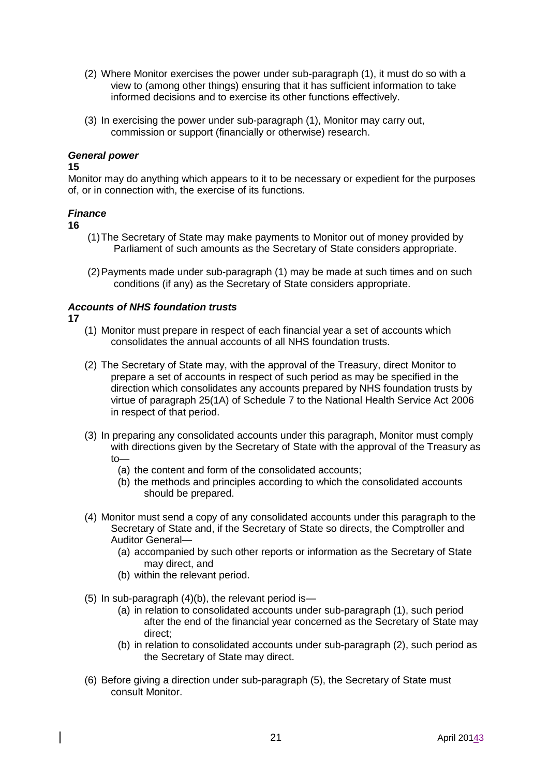- (2) Where Monitor exercises the power under sub-paragraph (1), it must do so with a view to (among other things) ensuring that it has sufficient information to take informed decisions and to exercise its other functions effectively.
- (3) In exercising the power under sub-paragraph (1), Monitor may carry out, commission or support (financially or otherwise) research.

#### *General power*

#### **15**

Monitor may do anything which appears to it to be necessary or expedient for the purposes of, or in connection with, the exercise of its functions.

# *Finance*

#### **16**

- (1)The Secretary of State may make payments to Monitor out of money provided by Parliament of such amounts as the Secretary of State considers appropriate.
- (2)Payments made under sub-paragraph (1) may be made at such times and on such conditions (if any) as the Secretary of State considers appropriate.

#### *Accounts of NHS foundation trusts*

**17**

- (1) Monitor must prepare in respect of each financial year a set of accounts which consolidates the annual accounts of all NHS foundation trusts.
- (2) The Secretary of State may, with the approval of the Treasury, direct Monitor to prepare a set of accounts in respect of such period as may be specified in the direction which consolidates any accounts prepared by NHS foundation trusts by virtue of paragraph 25(1A) of [Schedule 7](http://www.lexisnexis.com/uk/legal/search/enhRunRemoteLink.do?ersKey=23_T15823105167&langcountry=GB&backKey=20_T15823110313&linkInfo=F%23GB%23UK_ACTS%23sched%257%25schedule%257%25num%252006_41a%25&service=citation&A=0.9929866258519324) to the National Health Service Act 2006 in respect of that period.
- (3) In preparing any consolidated accounts under this paragraph, Monitor must comply with directions given by the Secretary of State with the approval of the Treasury as to—
	- (a) the content and form of the consolidated accounts;
	- (b) the methods and principles according to which the consolidated accounts should be prepared.
- (4) Monitor must send a copy of any consolidated accounts under this paragraph to the Secretary of State and, if the Secretary of State so directs, the Comptroller and Auditor General—
	- (a) accompanied by such other reports or information as the Secretary of State may direct, and
	- (b) within the relevant period.
- (5) In sub-paragraph (4)(b), the relevant period is—
	- (a) in relation to consolidated accounts under sub-paragraph (1), such period after the end of the financial year concerned as the Secretary of State may direct;
	- (b) in relation to consolidated accounts under sub-paragraph (2), such period as the Secretary of State may direct.
- (6) Before giving a direction under sub-paragraph (5), the Secretary of State must consult Monitor.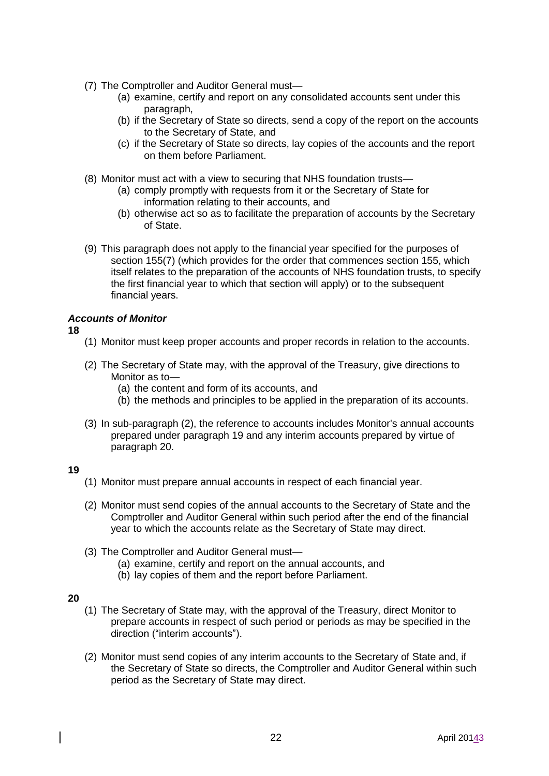- (7) The Comptroller and Auditor General must—
	- (a) examine, certify and report on any consolidated accounts sent under this paragraph,
	- (b) if the Secretary of State so directs, send a copy of the report on the accounts to the Secretary of State, and
	- (c) if the Secretary of State so directs, lay copies of the accounts and the report on them before Parliament.
- (8) Monitor must act with a view to securing that NHS foundation trusts—
	- (a) comply promptly with requests from it or the Secretary of State for information relating to their accounts, and
	- (b) otherwise act so as to facilitate the preparation of accounts by the Secretary of State.
- (9) This paragraph does not apply to the financial year specified for the purposes of section 155(7) (which provides for the order that commences section 155, which itself relates to the preparation of the accounts of NHS foundation trusts, to specify the first financial year to which that section will apply) or to the subsequent financial years.

#### *Accounts of Monitor*

#### **18**

- (1) Monitor must keep proper accounts and proper records in relation to the accounts.
- (2) The Secretary of State may, with the approval of the Treasury, give directions to Monitor as to—
	- (a) the content and form of its accounts, and
	- (b) the methods and principles to be applied in the preparation of its accounts.
- (3) In sub-paragraph (2), the reference to accounts includes Monitor's annual accounts prepared under paragraph 19 and any interim accounts prepared by virtue of paragraph 20.

# **19**

- (1) Monitor must prepare annual accounts in respect of each financial year.
- (2) Monitor must send copies of the annual accounts to the Secretary of State and the Comptroller and Auditor General within such period after the end of the financial year to which the accounts relate as the Secretary of State may direct.
- (3) The Comptroller and Auditor General must—
	- (a) examine, certify and report on the annual accounts, and
	- (b) lay copies of them and the report before Parliament.

#### **20**

- (1) The Secretary of State may, with the approval of the Treasury, direct Monitor to prepare accounts in respect of such period or periods as may be specified in the direction ("interim accounts").
- (2) Monitor must send copies of any interim accounts to the Secretary of State and, if the Secretary of State so directs, the Comptroller and Auditor General within such period as the Secretary of State may direct.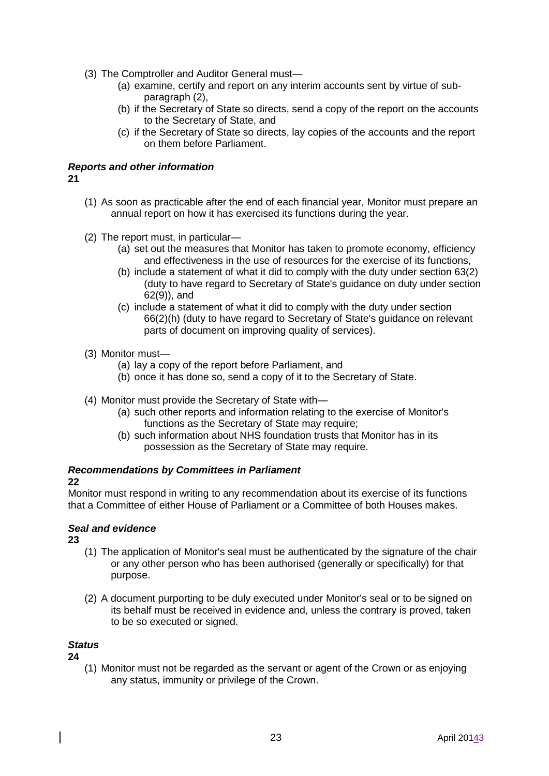- (3) The Comptroller and Auditor General must—
	- (a) examine, certify and report on any interim accounts sent by virtue of subparagraph (2),
	- (b) if the Secretary of State so directs, send a copy of the report on the accounts to the Secretary of State, and
	- (c) if the Secretary of State so directs, lay copies of the accounts and the report on them before Parliament.

#### *Reports and other information* **21**

- (1) As soon as practicable after the end of each financial year, Monitor must prepare an annual report on how it has exercised its functions during the year.
- (2) The report must, in particular—
	- (a) set out the measures that Monitor has taken to promote economy, efficiency and effectiveness in the use of resources for the exercise of its functions,
	- (b) include a statement of what it did to comply with the duty under section 63(2) (duty to have regard to Secretary of State's guidance on duty under section 62(9)), and
	- (c) include a statement of what it did to comply with the duty under section 66(2)(h) (duty to have regard to Secretary of State's guidance on relevant parts of document on improving quality of services).
- (3) Monitor must—
	- (a) lay a copy of the report before Parliament, and
	- (b) once it has done so, send a copy of it to the Secretary of State.
- (4) Monitor must provide the Secretary of State with—
	- (a) such other reports and information relating to the exercise of Monitor's functions as the Secretary of State may require;
	- (b) such information about NHS foundation trusts that Monitor has in its possession as the Secretary of State may require.

# *Recommendations by Committees in Parliament*

#### **22**

Monitor must respond in writing to any recommendation about its exercise of its functions that a Committee of either House of Parliament or a Committee of both Houses makes.

# *Seal and evidence*

**23**

- (1) The application of Monitor's seal must be authenticated by the signature of the chair or any other person who has been authorised (generally or specifically) for that purpose.
- (2) A document purporting to be duly executed under Monitor's seal or to be signed on its behalf must be received in evidence and, unless the contrary is proved, taken to be so executed or signed.

#### *Status*

**24**

(1) Monitor must not be regarded as the servant or agent of the Crown or as enjoying any status, immunity or privilege of the Crown.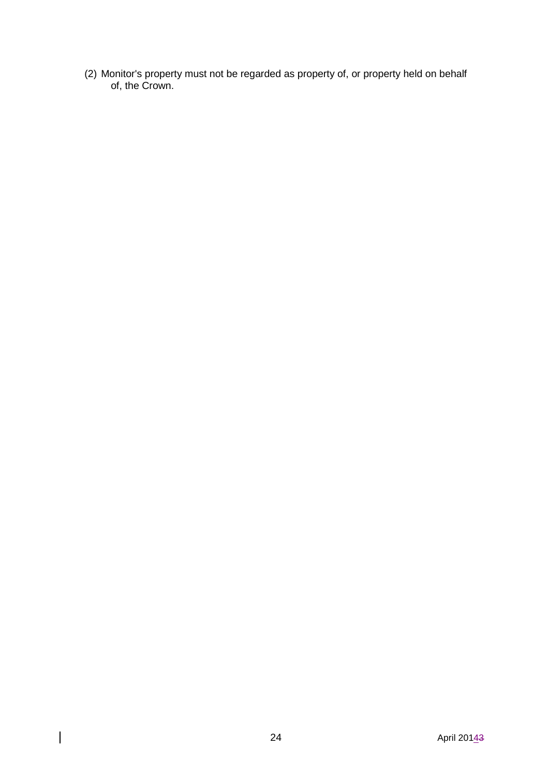(2) Monitor's property must not be regarded as property of, or property held on behalf of, the Crown.

 $\overline{\phantom{a}}$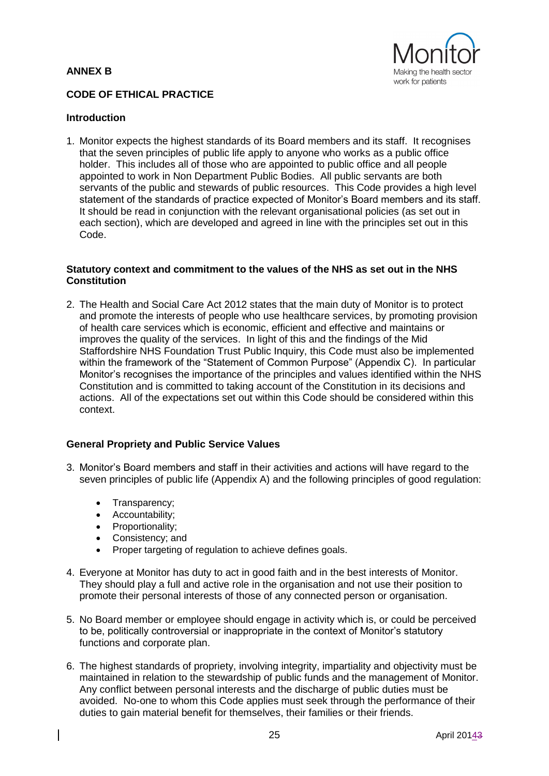# **ANNEX B**



#### **CODE OF ETHICAL PRACTICE**

#### **Introduction**

1. Monitor expects the highest standards of its Board members and its staff. It recognises that the seven principles of public life apply to anyone who works as a public office holder. This includes all of those who are appointed to public office and all people appointed to work in Non Department Public Bodies. All public servants are both servants of the public and stewards of public resources. This Code provides a high level statement of the standards of practice expected of Monitor's Board members and its staff. It should be read in conjunction with the relevant organisational policies (as set out in each section), which are developed and agreed in line with the principles set out in this Code.

#### **Statutory context and commitment to the values of the NHS as set out in the NHS Constitution**

2. The Health and Social Care Act 2012 states that the main duty of Monitor is to protect and promote the interests of people who use healthcare services, by promoting provision of health care services which is economic, efficient and effective and maintains or improves the quality of the services. In light of this and the findings of the Mid Staffordshire NHS Foundation Trust Public Inquiry, this Code must also be implemented within the framework of the "Statement of Common Purpose" (Appendix C). In particular Monitor's recognises the importance of the principles and values identified within the NHS Constitution and is committed to taking account of the Constitution in its decisions and actions. All of the expectations set out within this Code should be considered within this context.

#### **General Propriety and Public Service Values**

- 3. Monitor's Board members and staff in their activities and actions will have regard to the seven principles of public life (Appendix A) and the following principles of good regulation:
	- Transparency;
	- Accountability:
	- Proportionality;
	- Consistency; and
	- Proper targeting of regulation to achieve defines goals.
- 4. Everyone at Monitor has duty to act in good faith and in the best interests of Monitor. They should play a full and active role in the organisation and not use their position to promote their personal interests of those of any connected person or organisation.
- 5. No Board member or employee should engage in activity which is, or could be perceived to be, politically controversial or inappropriate in the context of Monitor's statutory functions and corporate plan.
- 6. The highest standards of propriety, involving integrity, impartiality and objectivity must be maintained in relation to the stewardship of public funds and the management of Monitor. Any conflict between personal interests and the discharge of public duties must be avoided. No-one to whom this Code applies must seek through the performance of their duties to gain material benefit for themselves, their families or their friends.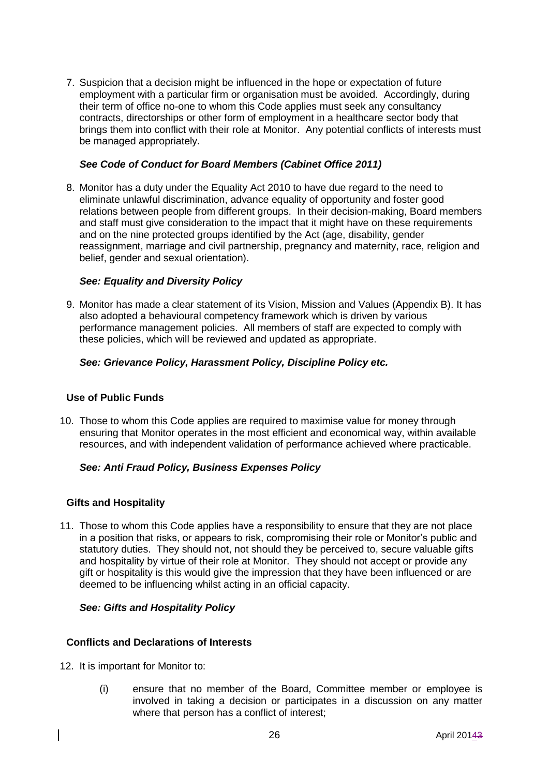7. Suspicion that a decision might be influenced in the hope or expectation of future employment with a particular firm or organisation must be avoided. Accordingly, during their term of office no-one to whom this Code applies must seek any consultancy contracts, directorships or other form of employment in a healthcare sector body that brings them into conflict with their role at Monitor. Any potential conflicts of interests must be managed appropriately.

### *See Code of Conduct for Board Members (Cabinet Office 2011)*

8. Monitor has a duty under the Equality Act 2010 to have due regard to the need to eliminate unlawful discrimination, advance equality of opportunity and foster good relations between people from different groups. In their decision-making, Board members and staff must give consideration to the impact that it might have on these requirements and on the nine protected groups identified by the Act (age, disability, gender reassignment, marriage and civil partnership, pregnancy and maternity, race, religion and belief, gender and sexual orientation).

# *See: Equality and Diversity Policy*

9. Monitor has made a clear statement of its Vision, Mission and Values (Appendix B). It has also adopted a behavioural competency framework which is driven by various performance management policies. All members of staff are expected to comply with these policies, which will be reviewed and updated as appropriate.

# *See: Grievance Policy, Harassment Policy, Discipline Policy etc.*

#### **Use of Public Funds**

10. Those to whom this Code applies are required to maximise value for money through ensuring that Monitor operates in the most efficient and economical way, within available resources, and with independent validation of performance achieved where practicable.

#### *See: Anti Fraud Policy, Business Expenses Policy*

#### **Gifts and Hospitality**

11. Those to whom this Code applies have a responsibility to ensure that they are not place in a position that risks, or appears to risk, compromising their role or Monitor's public and statutory duties. They should not, not should they be perceived to, secure valuable gifts and hospitality by virtue of their role at Monitor. They should not accept or provide any gift or hospitality is this would give the impression that they have been influenced or are deemed to be influencing whilst acting in an official capacity.

#### *See: Gifts and Hospitality Policy*

#### **Conflicts and Declarations of Interests**

- 12. It is important for Monitor to:
	- (i) ensure that no member of the Board, Committee member or employee is involved in taking a decision or participates in a discussion on any matter where that person has a conflict of interest;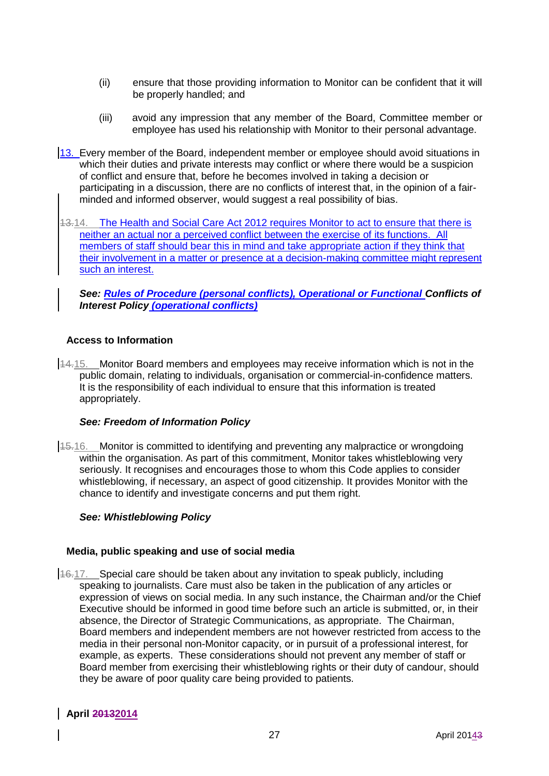- (ii) ensure that those providing information to Monitor can be confident that it will be properly handled; and
- (iii) avoid any impression that any member of the Board, Committee member or employee has used his relationship with Monitor to their personal advantage.
- 13. Every member of the Board, independent member or employee should avoid situations in which their duties and private interests may conflict or where there would be a suspicion of conflict and ensure that, before he becomes involved in taking a decision or participating in a discussion, there are no conflicts of interest that, in the opinion of a fairminded and informed observer, would suggest a real possibility of bias.
- 13.14. The Health and Social Care Act 2012 requires Monitor to act to ensure that there is neither an actual nor a perceived conflict between the exercise of its functions. All members of staff should bear this in mind and take appropriate action if they think that their involvement in a matter or presence at a decision-making committee might represent such an interest.

*See: Rules of Procedure (personal conflicts), Operational or Functional Conflicts of Interest Policy (operational conflicts)*

#### **Access to Information**

14.15. Monitor Board members and employees may receive information which is not in the public domain, relating to individuals, organisation or commercial-in-confidence matters. It is the responsibility of each individual to ensure that this information is treated appropriately.

#### *See: Freedom of Information Policy*

15.16. Monitor is committed to identifying and preventing any malpractice or wrongdoing within the organisation. As part of this commitment, Monitor takes whistleblowing very seriously. It recognises and encourages those to whom this Code applies to consider whistleblowing, if necessary, an aspect of good citizenship. It provides Monitor with the chance to identify and investigate concerns and put them right.

#### *See: Whistleblowing Policy*

#### **Media, public speaking and use of social media**

16.17. Special care should be taken about any invitation to speak publicly, including speaking to journalists. Care must also be taken in the publication of any articles or expression of views on social media. In any such instance, the Chairman and/or the Chief Executive should be informed in good time before such an article is submitted, or, in their absence, the Director of Strategic Communications, as appropriate. The Chairman, Board members and independent members are not however restricted from access to the media in their personal non-Monitor capacity, or in pursuit of a professional interest, for example, as experts. These considerations should not prevent any member of staff or Board member from exercising their whistleblowing rights or their duty of candour, should they be aware of poor quality care being provided to patients.

# **April 20132014**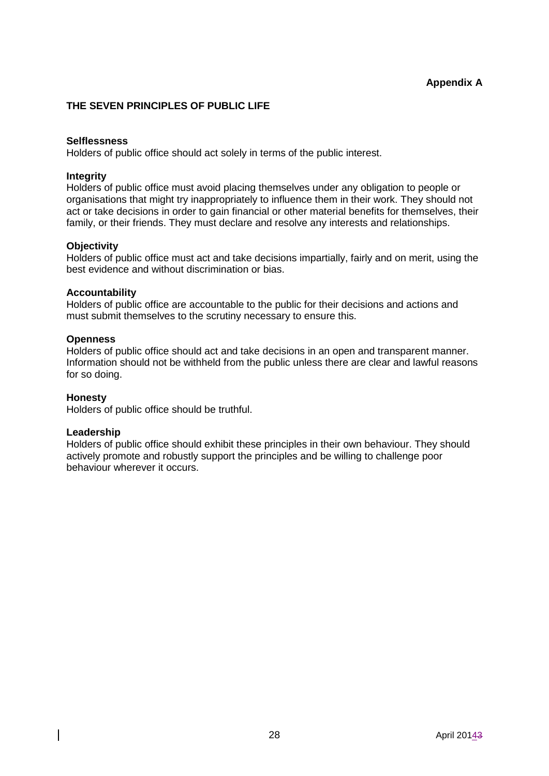# **Appendix A**

# **THE SEVEN PRINCIPLES OF PUBLIC LIFE**

#### **Selflessness**

Holders of public office should act solely in terms of the public interest.

#### **Integrity**

Holders of public office must avoid placing themselves under any obligation to people or organisations that might try inappropriately to influence them in their work. They should not act or take decisions in order to gain financial or other material benefits for themselves, their family, or their friends. They must declare and resolve any interests and relationships.

#### **Objectivity**

Holders of public office must act and take decisions impartially, fairly and on merit, using the best evidence and without discrimination or bias.

#### **Accountability**

Holders of public office are accountable to the public for their decisions and actions and must submit themselves to the scrutiny necessary to ensure this.

#### **Openness**

Holders of public office should act and take decisions in an open and transparent manner. Information should not be withheld from the public unless there are clear and lawful reasons for so doing.

#### **Honesty**

Holders of public office should be truthful.

#### **Leadership**

Holders of public office should exhibit these principles in their own behaviour. They should actively promote and robustly support the principles and be willing to challenge poor behaviour wherever it occurs.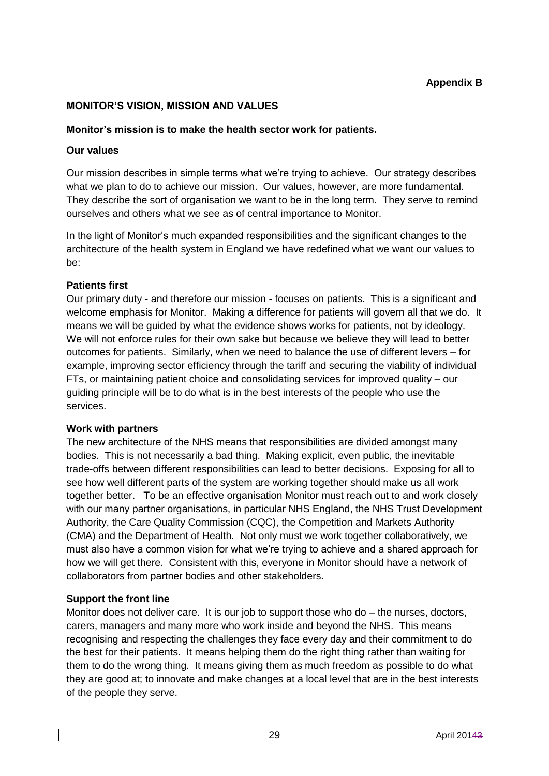# **MONITOR'S VISION, MISSION AND VALUES**

#### **Monitor's mission is to make the health sector work for patients.**

#### **Our values**

Our mission describes in simple terms what we're trying to achieve. Our strategy describes what we plan to do to achieve our mission. Our values, however, are more fundamental. They describe the sort of organisation we want to be in the long term. They serve to remind ourselves and others what we see as of central importance to Monitor.

In the light of Monitor's much expanded responsibilities and the significant changes to the architecture of the health system in England we have redefined what we want our values to be:

#### **Patients first**

Our primary duty - and therefore our mission - focuses on patients. This is a significant and welcome emphasis for Monitor. Making a difference for patients will govern all that we do. It means we will be guided by what the evidence shows works for patients, not by ideology. We will not enforce rules for their own sake but because we believe they will lead to better outcomes for patients. Similarly, when we need to balance the use of different levers – for example, improving sector efficiency through the tariff and securing the viability of individual FTs, or maintaining patient choice and consolidating services for improved quality – our guiding principle will be to do what is in the best interests of the people who use the services.

#### **Work with partners**

The new architecture of the NHS means that responsibilities are divided amongst many bodies. This is not necessarily a bad thing. Making explicit, even public, the inevitable trade-offs between different responsibilities can lead to better decisions. Exposing for all to see how well different parts of the system are working together should make us all work together better. To be an effective organisation Monitor must reach out to and work closely with our many partner organisations, in particular NHS England, the NHS Trust Development Authority, the Care Quality Commission (CQC), the Competition and Markets Authority (CMA) and the Department of Health. Not only must we work together collaboratively, we must also have a common vision for what we're trying to achieve and a shared approach for how we will get there. Consistent with this, everyone in Monitor should have a network of collaborators from partner bodies and other stakeholders.

#### **Support the front line**

Monitor does not deliver care. It is our job to support those who do – the nurses, doctors, carers, managers and many more who work inside and beyond the NHS. This means recognising and respecting the challenges they face every day and their commitment to do the best for their patients. It means helping them do the right thing rather than waiting for them to do the wrong thing. It means giving them as much freedom as possible to do what they are good at; to innovate and make changes at a local level that are in the best interests of the people they serve.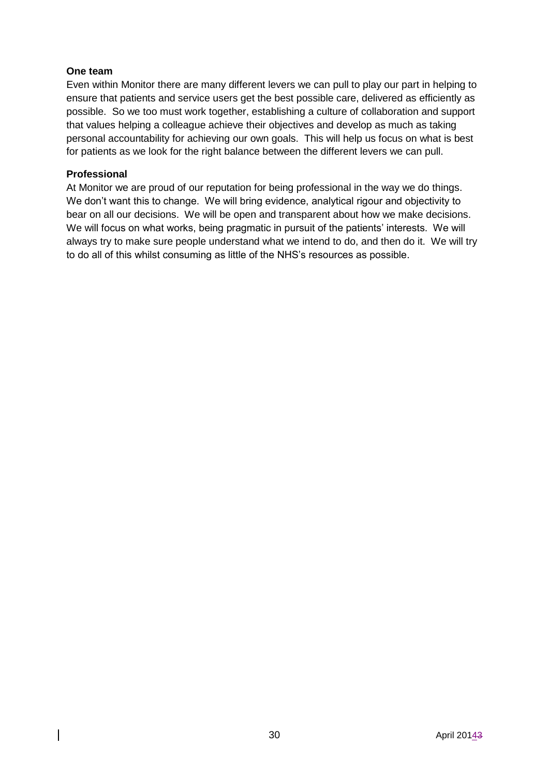# **One team**

Even within Monitor there are many different levers we can pull to play our part in helping to ensure that patients and service users get the best possible care, delivered as efficiently as possible. So we too must work together, establishing a culture of collaboration and support that values helping a colleague achieve their objectives and develop as much as taking personal accountability for achieving our own goals. This will help us focus on what is best for patients as we look for the right balance between the different levers we can pull.

# **Professional**

At Monitor we are proud of our reputation for being professional in the way we do things. We don't want this to change. We will bring evidence, analytical rigour and objectivity to bear on all our decisions. We will be open and transparent about how we make decisions. We will focus on what works, being pragmatic in pursuit of the patients' interests. We will always try to make sure people understand what we intend to do, and then do it. We will try to do all of this whilst consuming as little of the NHS's resources as possible.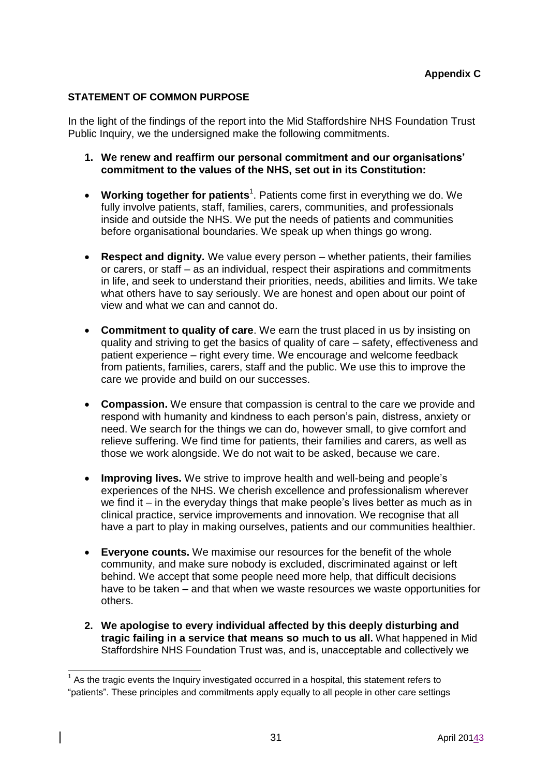# **STATEMENT OF COMMON PURPOSE**

In the light of the findings of the report into the Mid Staffordshire NHS Foundation Trust Public Inquiry, we the undersigned make the following commitments.

- **1. We renew and reaffirm our personal commitment and our organisations' commitment to the values of the NHS, set out in its Constitution:**
- **Working together for patients**<sup>1</sup>. Patients come first in everything we do. We fully involve patients, staff, families, carers, communities, and professionals inside and outside the NHS. We put the needs of patients and communities before organisational boundaries. We speak up when things go wrong.
- **Respect and dignity.** We value every person whether patients, their families or carers, or staff – as an individual, respect their aspirations and commitments in life, and seek to understand their priorities, needs, abilities and limits. We take what others have to say seriously. We are honest and open about our point of view and what we can and cannot do.
- **Commitment to quality of care**. We earn the trust placed in us by insisting on quality and striving to get the basics of quality of care – safety, effectiveness and patient experience – right every time. We encourage and welcome feedback from patients, families, carers, staff and the public. We use this to improve the care we provide and build on our successes.
- **Compassion.** We ensure that compassion is central to the care we provide and respond with humanity and kindness to each person's pain, distress, anxiety or need. We search for the things we can do, however small, to give comfort and relieve suffering. We find time for patients, their families and carers, as well as those we work alongside. We do not wait to be asked, because we care.
- **Improving lives.** We strive to improve health and well-being and people's experiences of the NHS. We cherish excellence and professionalism wherever we find it – in the everyday things that make people's lives better as much as in clinical practice, service improvements and innovation. We recognise that all have a part to play in making ourselves, patients and our communities healthier.
- **Everyone counts.** We maximise our resources for the benefit of the whole community, and make sure nobody is excluded, discriminated against or left behind. We accept that some people need more help, that difficult decisions have to be taken – and that when we waste resources we waste opportunities for others.
- **2. We apologise to every individual affected by this deeply disturbing and tragic failing in a service that means so much to us all.** What happened in Mid Staffordshire NHS Foundation Trust was, and is, unacceptable and collectively we

 $1$  As the tragic events the Inquiry investigated occurred in a hospital, this statement refers to "patients". These principles and commitments apply equally to all people in other care settings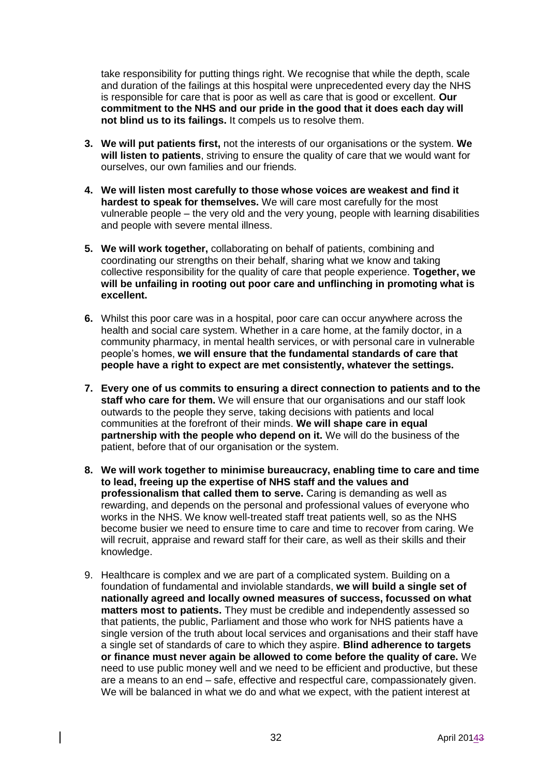take responsibility for putting things right. We recognise that while the depth, scale and duration of the failings at this hospital were unprecedented every day the NHS is responsible for care that is poor as well as care that is good or excellent. **Our commitment to the NHS and our pride in the good that it does each day will not blind us to its failings.** It compels us to resolve them.

- **3. We will put patients first,** not the interests of our organisations or the system. **We will listen to patients**, striving to ensure the quality of care that we would want for ourselves, our own families and our friends.
- **4. We will listen most carefully to those whose voices are weakest and find it hardest to speak for themselves.** We will care most carefully for the most vulnerable people – the very old and the very young, people with learning disabilities and people with severe mental illness.
- **5. We will work together,** collaborating on behalf of patients, combining and coordinating our strengths on their behalf, sharing what we know and taking collective responsibility for the quality of care that people experience. **Together, we will be unfailing in rooting out poor care and unflinching in promoting what is excellent.**
- **6.** Whilst this poor care was in a hospital, poor care can occur anywhere across the health and social care system. Whether in a care home, at the family doctor, in a community pharmacy, in mental health services, or with personal care in vulnerable people's homes, **we will ensure that the fundamental standards of care that people have a right to expect are met consistently, whatever the settings.**
- **7. Every one of us commits to ensuring a direct connection to patients and to the staff who care for them.** We will ensure that our organisations and our staff look outwards to the people they serve, taking decisions with patients and local communities at the forefront of their minds. **We will shape care in equal partnership with the people who depend on it.** We will do the business of the patient, before that of our organisation or the system.
- **8. We will work together to minimise bureaucracy, enabling time to care and time to lead, freeing up the expertise of NHS staff and the values and professionalism that called them to serve.** Caring is demanding as well as rewarding, and depends on the personal and professional values of everyone who works in the NHS. We know well-treated staff treat patients well, so as the NHS become busier we need to ensure time to care and time to recover from caring. We will recruit, appraise and reward staff for their care, as well as their skills and their knowledge.
- 9. Healthcare is complex and we are part of a complicated system. Building on a foundation of fundamental and inviolable standards, **we will build a single set of nationally agreed and locally owned measures of success, focussed on what matters most to patients.** They must be credible and independently assessed so that patients, the public, Parliament and those who work for NHS patients have a single version of the truth about local services and organisations and their staff have a single set of standards of care to which they aspire. **Blind adherence to targets or finance must never again be allowed to come before the quality of care.** We need to use public money well and we need to be efficient and productive, but these are a means to an end – safe, effective and respectful care, compassionately given. We will be balanced in what we do and what we expect, with the patient interest at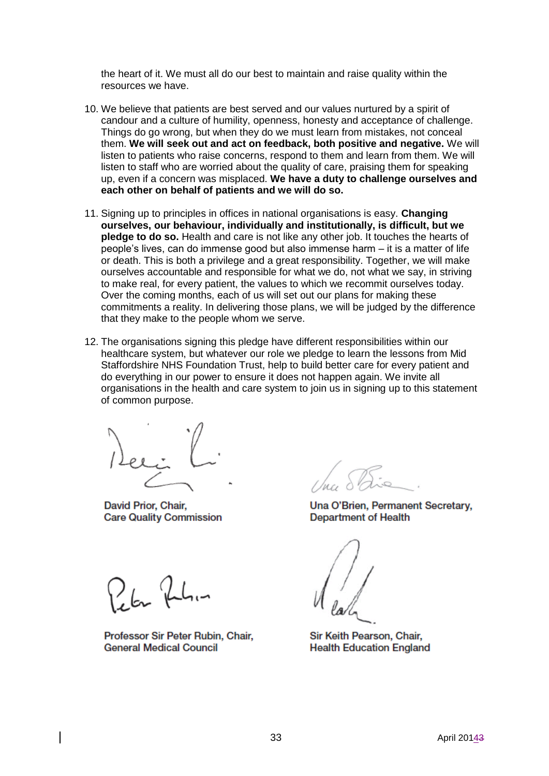the heart of it. We must all do our best to maintain and raise quality within the resources we have.

- 10. We believe that patients are best served and our values nurtured by a spirit of candour and a culture of humility, openness, honesty and acceptance of challenge. Things do go wrong, but when they do we must learn from mistakes, not conceal them. **We will seek out and act on feedback, both positive and negative.** We will listen to patients who raise concerns, respond to them and learn from them. We will listen to staff who are worried about the quality of care, praising them for speaking up, even if a concern was misplaced. **We have a duty to challenge ourselves and each other on behalf of patients and we will do so.**
- 11. Signing up to principles in offices in national organisations is easy. **Changing ourselves, our behaviour, individually and institutionally, is difficult, but we pledge to do so.** Health and care is not like any other job. It touches the hearts of people's lives, can do immense good but also immense harm – it is a matter of life or death. This is both a privilege and a great responsibility. Together, we will make ourselves accountable and responsible for what we do, not what we say, in striving to make real, for every patient, the values to which we recommit ourselves today. Over the coming months, each of us will set out our plans for making these commitments a reality. In delivering those plans, we will be judged by the difference that they make to the people whom we serve.
- 12. The organisations signing this pledge have different responsibilities within our healthcare system, but whatever our role we pledge to learn the lessons from Mid Staffordshire NHS Foundation Trust, help to build better care for every patient and do everything in our power to ensure it does not happen again. We invite all organisations in the health and care system to join us in signing up to this statement of common purpose.

David Prior, Chair, **Care Quality Commission** 

Una O'Brien, Permanent Secretary, **Department of Health** 

Zku f

Professor Sir Peter Rubin, Chair, **General Medical Council** 

Sir Keith Pearson, Chair, **Health Education England**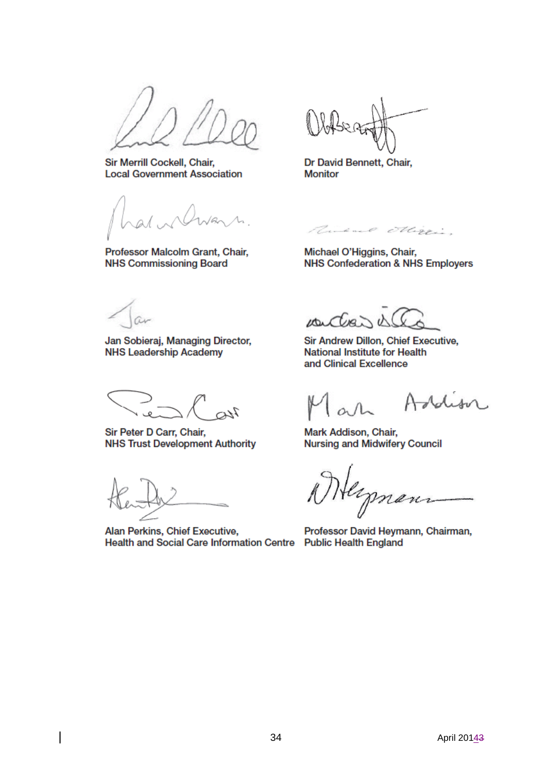Sir Merrill Cockell, Chair, **Local Government Association** 

Professor Malcolm Grant, Chair, **NHS Commissioning Board** 

Dr David Bennett, Chair, **Monitor** 

Rudolle Obliger.

Michael O'Higgins, Chair, **NHS Confederation & NHS Employers** 

Jan Sobieraj, Managing Director, **NHS Leadership Academy** 

 $\mathcal{U}$ 

Sir Peter D Carr, Chair, **NHS Trust Development Authority** 

Alan Perkins, Chief Executive, **Health and Social Care Information Centre** 

weiter is

Sir Andrew Dillon, Chief Executive, **National Institute for Health** and Clinical Excellence

Iddison

Mark Addison, Chair, **Nursing and Midwifery Council** 

Herpnan

Professor David Heymann, Chairman, **Public Health England**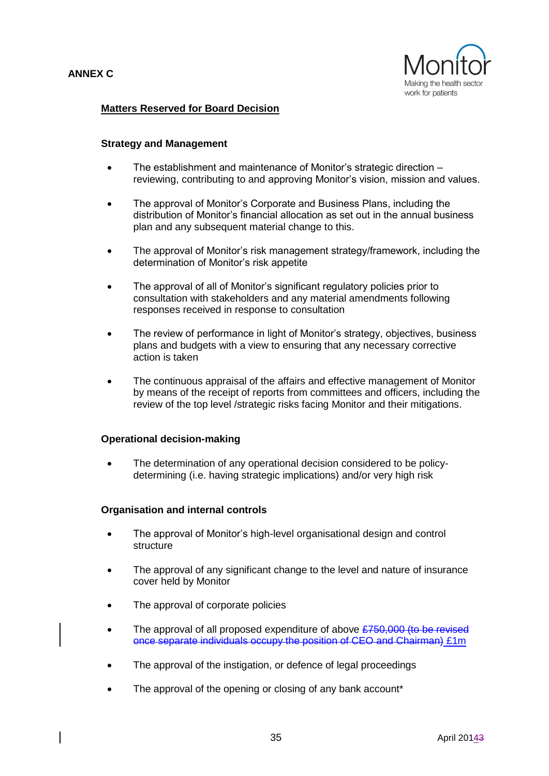

# **Matters Reserved for Board Decision**

#### **Strategy and Management**

- The establishment and maintenance of Monitor's strategic direction reviewing, contributing to and approving Monitor's vision, mission and values.
- The approval of Monitor's Corporate and Business Plans, including the distribution of Monitor's financial allocation as set out in the annual business plan and any subsequent material change to this.
- The approval of Monitor's risk management strategy/framework, including the determination of Monitor's risk appetite
- The approval of all of Monitor's significant regulatory policies prior to consultation with stakeholders and any material amendments following responses received in response to consultation
- The review of performance in light of Monitor's strategy, objectives, business plans and budgets with a view to ensuring that any necessary corrective action is taken
- The continuous appraisal of the affairs and effective management of Monitor by means of the receipt of reports from committees and officers, including the review of the top level /strategic risks facing Monitor and their mitigations.

#### **Operational decision-making**

 The determination of any operational decision considered to be policydetermining (i.e. having strategic implications) and/or very high risk

#### **Organisation and internal controls**

- The approval of Monitor's high-level organisational design and control structure
- The approval of any significant change to the level and nature of insurance cover held by Monitor
- The approval of corporate policies
- The approval of all proposed expenditure of above  $£750,000$  (to be revised once separate individuals occupy the position of CEO and Chairman) £1m
- The approval of the instigation, or defence of legal proceedings
- The approval of the opening or closing of any bank account\*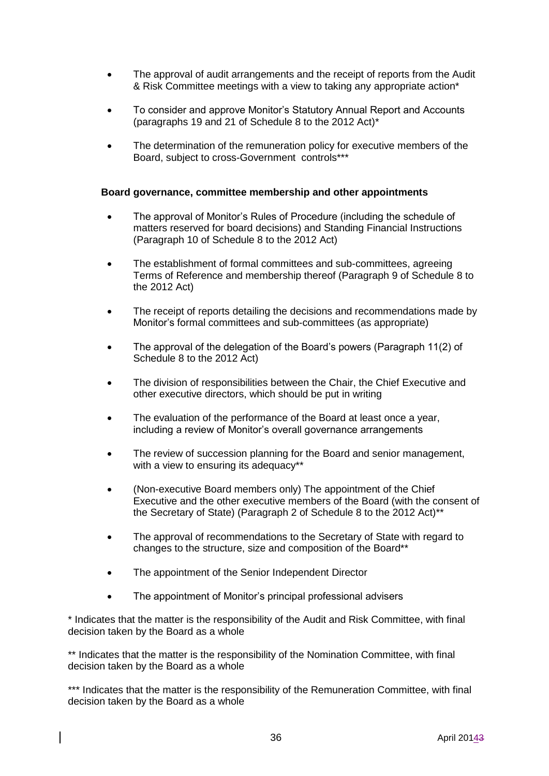- The approval of audit arrangements and the receipt of reports from the Audit & Risk Committee meetings with a view to taking any appropriate action\*
- To consider and approve Monitor's Statutory Annual Report and Accounts (paragraphs 19 and 21 of Schedule 8 to the 2012 Act)\*
- The determination of the remuneration policy for executive members of the Board, subject to cross-Government controls\*\*\*

#### **Board governance, committee membership and other appointments**

- The approval of Monitor's Rules of Procedure (including the schedule of matters reserved for board decisions) and Standing Financial Instructions (Paragraph 10 of Schedule 8 to the 2012 Act)
- The establishment of formal committees and sub-committees, agreeing Terms of Reference and membership thereof (Paragraph 9 of Schedule 8 to the 2012 Act)
- The receipt of reports detailing the decisions and recommendations made by Monitor's formal committees and sub-committees (as appropriate)
- The approval of the delegation of the Board's powers (Paragraph 11(2) of Schedule 8 to the 2012 Act)
- The division of responsibilities between the Chair, the Chief Executive and other executive directors, which should be put in writing
- The evaluation of the performance of the Board at least once a year, including a review of Monitor's overall governance arrangements
- The review of succession planning for the Board and senior management, with a view to ensuring its adequacy\*\*
- (Non-executive Board members only) The appointment of the Chief Executive and the other executive members of the Board (with the consent of the Secretary of State) (Paragraph 2 of Schedule 8 to the 2012 Act)\*\*
- The approval of recommendations to the Secretary of State with regard to changes to the structure, size and composition of the Board\*\*
- The appointment of the Senior Independent Director
- The appointment of Monitor's principal professional advisers

\* Indicates that the matter is the responsibility of the Audit and Risk Committee, with final decision taken by the Board as a whole

\*\* Indicates that the matter is the responsibility of the Nomination Committee, with final decision taken by the Board as a whole

\*\*\* Indicates that the matter is the responsibility of the Remuneration Committee, with final decision taken by the Board as a whole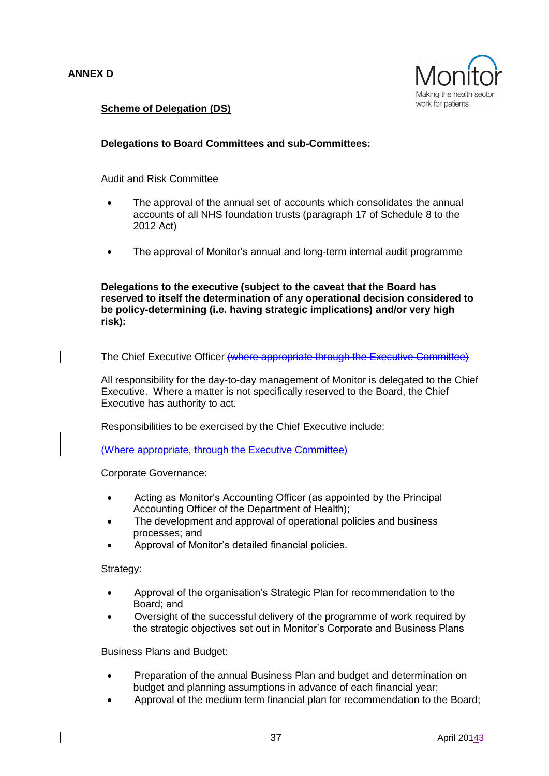

# **Scheme of Delegation (DS)**

# **Delegations to Board Committees and sub-Committees:**

#### Audit and Risk Committee

- The approval of the annual set of accounts which consolidates the annual accounts of all NHS foundation trusts (paragraph 17 of Schedule 8 to the 2012 Act)
- The approval of Monitor's annual and long-term internal audit programme

**Delegations to the executive (subject to the caveat that the Board has reserved to itself the determination of any operational decision considered to be policy-determining (i.e. having strategic implications) and/or very high risk):**

#### The Chief Executive Officer (where appropriate through the Executive Committee)

All responsibility for the day-to-day management of Monitor is delegated to the Chief Executive. Where a matter is not specifically reserved to the Board, the Chief Executive has authority to act.

Responsibilities to be exercised by the Chief Executive include:

(Where appropriate, through the Executive Committee)

Corporate Governance:

- Acting as Monitor's Accounting Officer (as appointed by the Principal Accounting Officer of the Department of Health);
- The development and approval of operational policies and business processes; and
- Approval of Monitor's detailed financial policies.

Strategy:

- Approval of the organisation's Strategic Plan for recommendation to the Board; and
- Oversight of the successful delivery of the programme of work required by the strategic objectives set out in Monitor's Corporate and Business Plans

Business Plans and Budget:

- Preparation of the annual Business Plan and budget and determination on budget and planning assumptions in advance of each financial year;
- Approval of the medium term financial plan for recommendation to the Board;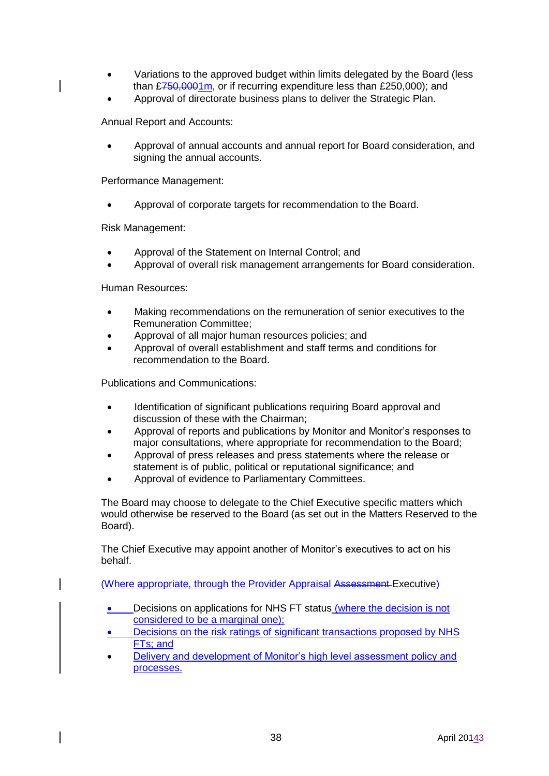- Variations to the approved budget within limits delegated by the Board (less than £750,0001m, or if recurring expenditure less than £250,000); and
- Approval of directorate business plans to deliver the Strategic Plan.

Annual Report and Accounts:

 Approval of annual accounts and annual report for Board consideration, and signing the annual accounts.

Performance Management:

Approval of corporate targets for recommendation to the Board.

Risk Management:

- Approval of the Statement on Internal Control; and
- Approval of overall risk management arrangements for Board consideration.

Human Resources:

- Making recommendations on the remuneration of senior executives to the Remuneration Committee;
- Approval of all major human resources policies; and
- Approval of overall establishment and staff terms and conditions for recommendation to the Board.

Publications and Communications:

- Identification of significant publications requiring Board approval and discussion of these with the Chairman;
- Approval of reports and publications by Monitor and Monitor's responses to major consultations, where appropriate for recommendation to the Board;
- Approval of press releases and press statements where the release or statement is of public, political or reputational significance; and
- Approval of evidence to Parliamentary Committees.

The Board may choose to delegate to the Chief Executive specific matters which would otherwise be reserved to the Board (as set out in the Matters Reserved to the Board).

The Chief Executive may appoint another of Monitor's executives to act on his behalf.

(Where appropriate, through the Provider Appraisal Assessment Executive)

- Decisions on applications for NHS FT status (where the decision is not considered to be a marginal one);
- Decisions on the risk ratings of significant transactions proposed by NHS FTs; and
- Delivery and development of Monitor's high level assessment policy and processes.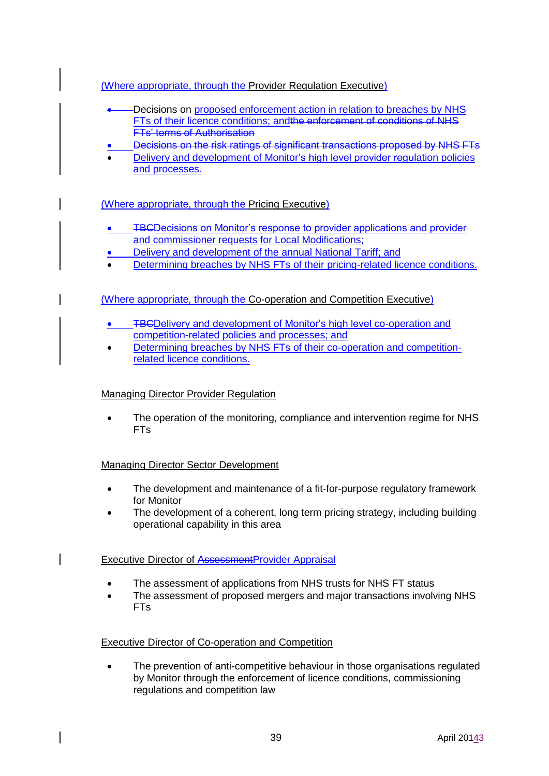(Where appropriate, through the Provider Regulation Executive)

- Decisions on proposed enforcement action in relation to breaches by NHS FTs of their licence conditions; andthe enforcement of conditions of NHS **FTs' terms of Authorisation**
- Decisions on the risk ratings of significant transactions proposed by NHS FTs
- Delivery and development of Monitor's high level provider regulation policies and processes.

(Where appropriate, through the Pricing Executive)

- TBCDecisions on Monitor's response to provider applications and provider and commissioner requests for Local Modifications;
- Delivery and development of the annual National Tariff; and
- Determining breaches by NHS FTs of their pricing-related licence conditions.

(Where appropriate, through the Co-operation and Competition Executive)

- TBCDelivery and development of Monitor's high level co-operation and competition-related policies and processes; and
- Determining breaches by NHS FTs of their co-operation and competitionrelated licence conditions.

#### Managing Director Provider Regulation

 The operation of the monitoring, compliance and intervention regime for NHS FTs

#### Managing Director Sector Development

- The development and maintenance of a fit-for-purpose regulatory framework for Monitor
- The development of a coherent, long term pricing strategy, including building operational capability in this area

#### Executive Director of AssessmentProvider Appraisal

- The assessment of applications from NHS trusts for NHS FT status
- The assessment of proposed mergers and major transactions involving NHS FTs

#### Executive Director of Co-operation and Competition

 The prevention of anti-competitive behaviour in those organisations regulated by Monitor through the enforcement of licence conditions, commissioning regulations and competition law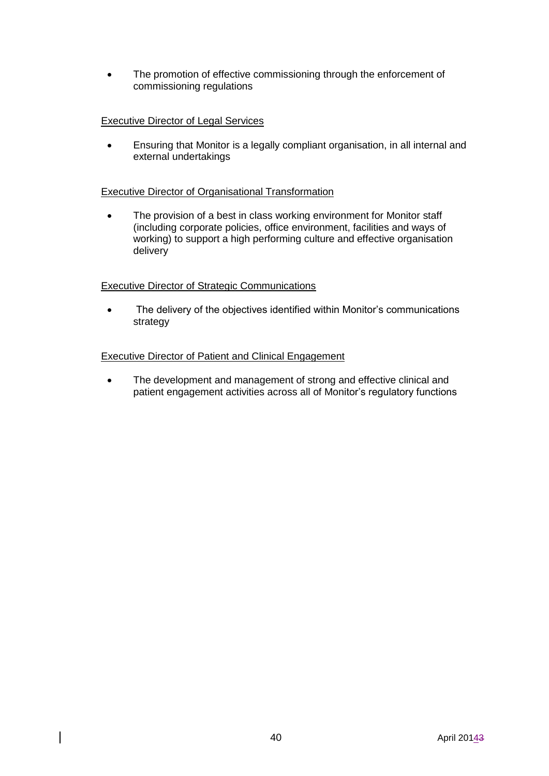• The promotion of effective commissioning through the enforcement of commissioning regulations

### Executive Director of Legal Services

 Ensuring that Monitor is a legally compliant organisation, in all internal and external undertakings

#### Executive Director of Organisational Transformation

• The provision of a best in class working environment for Monitor staff (including corporate policies, office environment, facilities and ways of working) to support a high performing culture and effective organisation delivery

#### Executive Director of Strategic Communications

• The delivery of the objectives identified within Monitor's communications strategy

#### Executive Director of Patient and Clinical Engagement

• The development and management of strong and effective clinical and patient engagement activities across all of Monitor's regulatory functions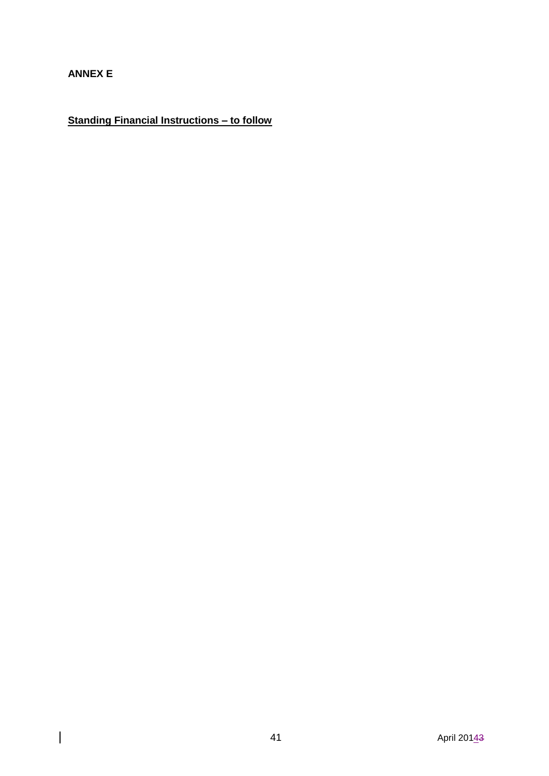# **ANNEX E**

 $\overline{\phantom{a}}$ 

**Standing Financial Instructions – to follow**